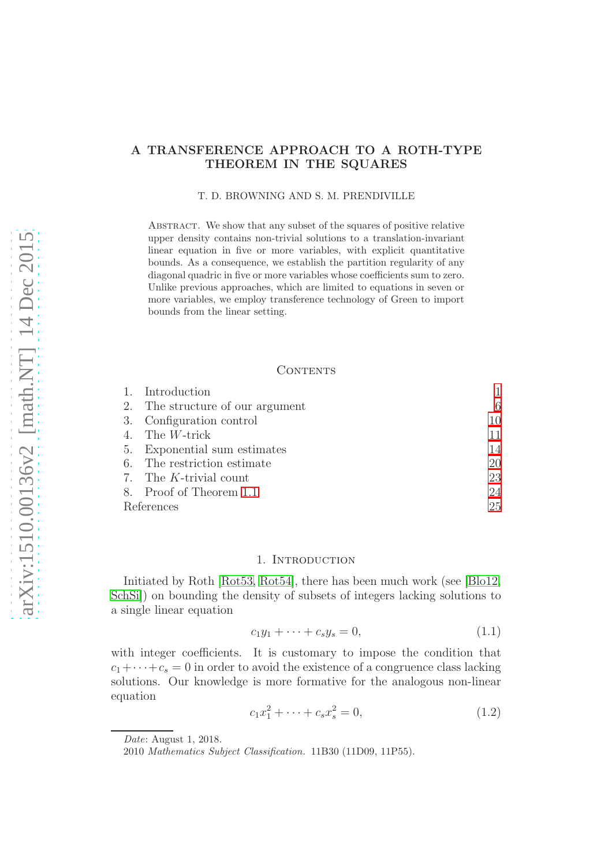# A TRANSFERENCE APPROACH TO A ROTH-TYPE THEOREM IN THE SQUARES

T. D. BROWNING AND S. M. PRENDIVILLE

Abstract. We show that any subset of the squares of positive relative upper density contains non-trivial solutions to a translation-invariant linear equation in five or more variables, with explicit quantitative bounds. As a consequence, we establish the partition regularity of any diagonal quadric in five or more variables whose coefficients sum to zero. Unlike previous approaches, which are limited to equations in seven or more variables, we employ transference technology of Green to import bounds from the linear setting.

## CONTENTS

|            | 1. Introduction                  |    |
|------------|----------------------------------|----|
|            | 2. The structure of our argument | 6  |
|            | 3. Configuration control         | 10 |
|            | 4. The $W\text{-trick}$          | 11 |
|            | 5. Exponential sum estimates     | 14 |
|            | 6. The restriction estimate      | 20 |
|            | 7. The K-trivial count           | 23 |
|            | 8. Proof of Theorem 1.1          | 24 |
| References |                                  | 25 |

### 1. INTRODUCTION

<span id="page-0-0"></span>Initiated by Roth [\[Rot53,](#page-24-1) [Rot54\]](#page-24-2), there has been much work (see [\[Blo12,](#page-24-3) [SchSi\]](#page-24-4)) on bounding the density of subsets of integers lacking solutions to a single linear equation

<span id="page-0-1"></span>
$$
c_1 y_1 + \dots + c_s y_s = 0, \tag{1.1}
$$

with integer coefficients. It is customary to impose the condition that  $c_1+\cdots+c_s=0$  in order to avoid the existence of a congruence class lacking solutions. Our knowledge is more formative for the analogous non-linear equation

<span id="page-0-2"></span>
$$
c_1 x_1^2 + \dots + c_s x_s^2 = 0,
$$
\n(1.2)

*Date*: August 1, 2018.

<sup>2010</sup> *Mathematics Subject Classification.* 11B30 (11D09, 11P55).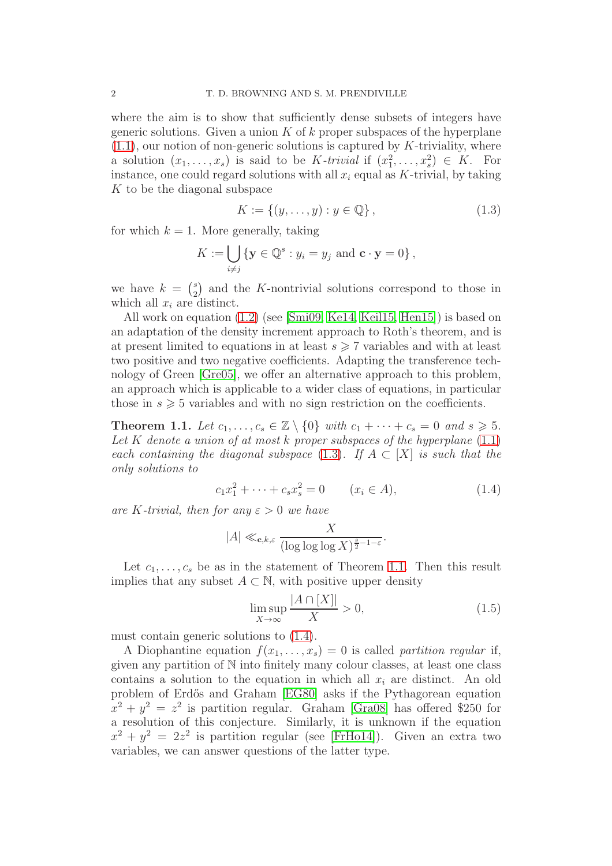where the aim is to show that sufficiently dense subsets of integers have generic solutions. Given a union  $K$  of  $k$  proper subspaces of the hyperplane  $(1.1)$ , our notion of non-generic solutions is captured by K-triviality, where a solution  $(x_1, \ldots, x_s)$  is said to be K-trivial if  $(x_1^2, \ldots, x_s^2) \in K$ . For instance, one could regard solutions with all  $x_i$  equal as K-trivial, by taking  $K$  to be the diagonal subspace

<span id="page-1-1"></span>
$$
K := \{(y, \dots, y) : y \in \mathbb{Q}\},\tag{1.3}
$$

for which  $k = 1$ . More generally, taking

$$
K := \bigcup_{i \neq j} \{ \mathbf{y} \in \mathbb{Q}^s : y_i = y_j \text{ and } \mathbf{c} \cdot \mathbf{y} = 0 \},
$$

we have  $k = \binom{s}{2}$  $2\binom{s}{2}$  and the K-nontrivial solutions correspond to those in which all  $x_i$  are distinct.

All work on equation [\(1.2\)](#page-0-2) (see [\[Smi09,](#page-25-0) [Ke14,](#page-24-5) [Keil15,](#page-24-6) [Hen15\]](#page-24-7)) is based on an adaptation of the density increment approach to Roth's theorem, and is at present limited to equations in at least  $s \geqslant 7$  variables and with at least two positive and two negative coefficients. Adapting the transference technology of Green [\[Gre05\]](#page-24-8), we offer an alternative approach to this problem, an approach which is applicable to a wider class of equations, in particular those in  $s \geqslant 5$  variables and with no sign restriction on the coefficients.

<span id="page-1-0"></span>**Theorem 1.1.** Let  $c_1, \ldots, c_s \in \mathbb{Z} \setminus \{0\}$  with  $c_1 + \cdots + c_s = 0$  and  $s \geq 5$ . Let K denote a union of at most k proper subspaces of the hyperplane  $(1.1)$ each containing the diagonal subspace [\(1.3\)](#page-1-1). If  $A \subset [X]$  is such that the only solutions to

<span id="page-1-2"></span>
$$
c_1 x_1^2 + \dots + c_s x_s^2 = 0 \qquad (x_i \in A), \tag{1.4}
$$

are K-trivial, then for any  $\varepsilon > 0$  we have

$$
|A| \ll_{\mathbf{c},k,\varepsilon} \frac{X}{(\log\log\log X)^{\frac{s}{2}-1-\varepsilon}}.
$$

Let  $c_1, \ldots, c_s$  be as in the statement of Theorem [1.1.](#page-1-0) Then this result implies that any subset  $A \subset \mathbb{N}$ , with positive upper density

<span id="page-1-3"></span>
$$
\limsup_{X \to \infty} \frac{|A \cap [X]|}{X} > 0,
$$
\n(1.5)

must contain generic solutions to [\(1.4\)](#page-1-2).

A Diophantine equation  $f(x_1, \ldots, x_s) = 0$  is called partition regular if, given any partition of N into finitely many colour classes, at least one class contains a solution to the equation in which all  $x_i$  are distinct. An old problem of Erd˝os and Graham [\[EG80\]](#page-24-9) asks if the Pythagorean equation  $x^2 + y^2 = z^2$  is partition regular. Graham [\[Gra08\]](#page-24-10) has offered \$250 for a resolution of this conjecture. Similarly, it is unknown if the equation  $x^2 + y^2 = 2z^2$  is partition regular (see [\[FrHo14\]](#page-24-11)). Given an extra two variables, we can answer questions of the latter type.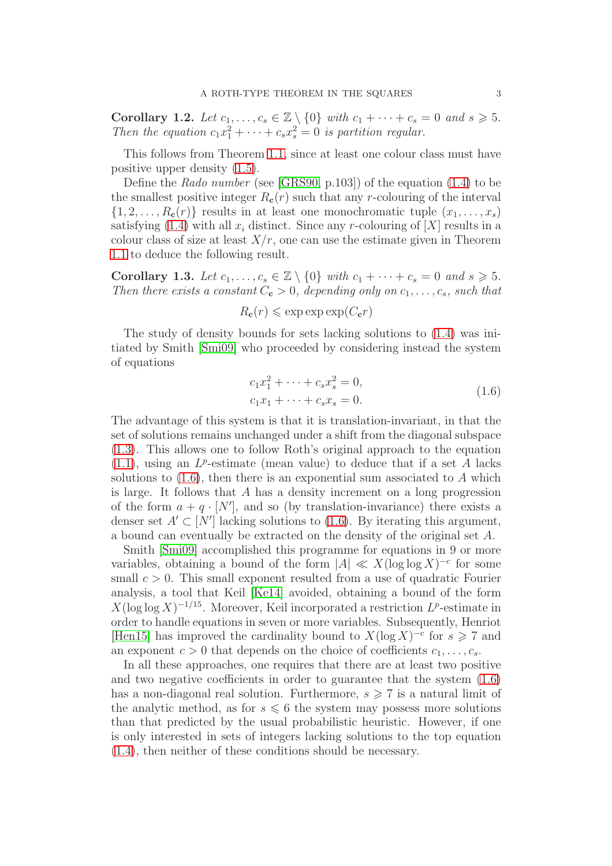Corollary 1.2. Let  $c_1, \ldots, c_s \in \mathbb{Z} \setminus \{0\}$  with  $c_1 + \cdots + c_s = 0$  and  $s \geq 5$ . Then the equation  $c_1x_1^2 + \cdots + c_sx_s^2 = 0$  is partition regular.

This follows from Theorem [1.1,](#page-1-0) since at least one colour class must have positive upper density [\(1.5\)](#page-1-3).

Define the Rado number (see [\[GRS90,](#page-24-12) p.103]) of the equation [\(1.4\)](#page-1-2) to be the smallest positive integer  $R_c(r)$  such that any r-colouring of the interval  $\{1, 2, \ldots, R_{c}(r)\}\)$  results in at least one monochromatic tuple  $(x_1, \ldots, x_s)$ satisfying [\(1.4\)](#page-1-2) with all  $x_i$  distinct. Since any r-colouring of [X] results in a colour class of size at least  $X/r$ , one can use the estimate given in Theorem [1.1](#page-1-0) to deduce the following result.

Corollary 1.3. Let  $c_1, \ldots, c_s \in \mathbb{Z} \setminus \{0\}$  with  $c_1 + \cdots + c_s = 0$  and  $s \geq 5$ . Then there exists a constant  $C_c > 0$ , depending only on  $c_1, \ldots, c_s$ , such that

$$
R_{\mathbf{c}}(r) \leqslant \exp \exp \exp(C_{\mathbf{c}}r)
$$

The study of density bounds for sets lacking solutions to [\(1.4\)](#page-1-2) was initiated by Smith [\[Smi09\]](#page-25-0) who proceeded by considering instead the system of equations

$$
c_1 x_1^2 + \dots + c_s x_s^2 = 0,
$$
  
\n
$$
c_1 x_1 + \dots + c_s x_s = 0.
$$
\n(1.6)

<span id="page-2-0"></span>The advantage of this system is that it is translation-invariant, in that the set of solutions remains unchanged under a shift from the diagonal subspace [\(1.3\)](#page-1-1). This allows one to follow Roth's original approach to the equation  $(1.1)$ , using an  $L^p$ -estimate (mean value) to deduce that if a set A lacks solutions to  $(1.6)$ , then there is an exponential sum associated to A which is large. It follows that A has a density increment on a long progression of the form  $a + q \cdot [N']$ , and so (by translation-invariance) there exists a denser set  $A' \subset [N']$  lacking solutions to [\(1.6\)](#page-2-0). By iterating this argument, a bound can eventually be extracted on the density of the original set A.

Smith [\[Smi09\]](#page-25-0) accomplished this programme for equations in 9 or more variables, obtaining a bound of the form  $|A| \ll X(\log \log X)^{-c}$  for some small  $c > 0$ . This small exponent resulted from a use of quadratic Fourier analysis, a tool that Keil [\[Ke14\]](#page-24-5) avoided, obtaining a bound of the form  $X(\log \log X)^{-1/15}$ . Moreover, Keil incorporated a restriction  $L^p$ -estimate in order to handle equations in seven or more variables. Subsequently, Henriot [\[Hen15\]](#page-24-7) has improved the cardinality bound to  $X(\log X)^{-c}$  for  $s \geq 7$  and an exponent  $c > 0$  that depends on the choice of coefficients  $c_1, \ldots, c_s$ .

In all these approaches, one requires that there are at least two positive and two negative coefficients in order to guarantee that the system [\(1.6\)](#page-2-0) has a non-diagonal real solution. Furthermore,  $s \geq 7$  is a natural limit of the analytic method, as for  $s \leq 6$  the system may possess more solutions than that predicted by the usual probabilistic heuristic. However, if one is only interested in sets of integers lacking solutions to the top equation [\(1.4\)](#page-1-2), then neither of these conditions should be necessary.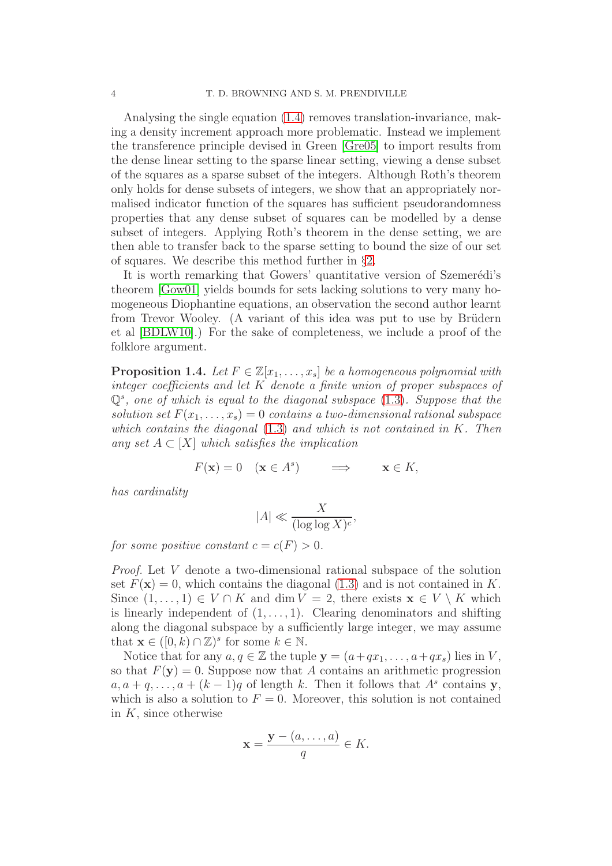Analysing the single equation [\(1.4\)](#page-1-2) removes translation-invariance, making a density increment approach more problematic. Instead we implement the transference principle devised in Green [\[Gre05\]](#page-24-8) to import results from the dense linear setting to the sparse linear setting, viewing a dense subset of the squares as a sparse subset of the integers. Although Roth's theorem only holds for dense subsets of integers, we show that an appropriately normalised indicator function of the squares has sufficient pseudorandomness properties that any dense subset of squares can be modelled by a dense subset of integers. Applying Roth's theorem in the dense setting, we are then able to transfer back to the sparse setting to bound the size of our set of squares. We describe this method further in §[2.](#page-5-0)

It is worth remarking that Gowers' quantitative version of Szemerédi's theorem [\[Gow01\]](#page-24-13) yields bounds for sets lacking solutions to very many homogeneous Diophantine equations, an observation the second author learnt from Trevor Wooley. (A variant of this idea was put to use by Brüdern et al [\[BDLW10\]](#page-24-14).) For the sake of completeness, we include a proof of the folklore argument.

<span id="page-3-0"></span>**Proposition 1.4.** Let  $F \in \mathbb{Z}[x_1, \ldots, x_s]$  be a homogeneous polynomial with integer coefficients and let K denote a finite union of proper subspaces of  $\mathbb{Q}^s$ , one of which is equal to the diagonal subspace  $(1.3)$ . Suppose that the solution set  $F(x_1, \ldots, x_s) = 0$  contains a two-dimensional rational subspace which contains the diagonal  $(1.3)$  and which is not contained in K. Then any set  $A \subset [X]$  which satisfies the implication

> $F(\mathbf{x}) = 0 \quad (\mathbf{x} \in A^s)$  $\implies$   $\mathbf{x} \in K$ ,

has cardinality

$$
|A| \ll \frac{X}{(\log \log X)^c},
$$

for some positive constant  $c = c(F) > 0$ .

Proof. Let V denote a two-dimensional rational subspace of the solution set  $F(\mathbf{x}) = 0$ , which contains the diagonal [\(1.3\)](#page-1-1) and is not contained in K. Since  $(1, \ldots, 1) \in V \cap K$  and dim  $V = 2$ , there exists  $\mathbf{x} \in V \setminus K$  which is linearly independent of  $(1, \ldots, 1)$ . Clearing denominators and shifting along the diagonal subspace by a sufficiently large integer, we may assume that  $\mathbf{x} \in ([0, k) \cap \mathbb{Z})^s$  for some  $k \in \mathbb{N}$ .

Notice that for any  $a, q \in \mathbb{Z}$  the tuple  $y = (a+qx_1, \ldots, a+qx_s)$  lies in V, so that  $F(y) = 0$ . Suppose now that A contains an arithmetic progression  $a, a + q, \ldots, a + (k-1)q$  of length k. Then it follows that  $A<sup>s</sup>$  contains y, which is also a solution to  $F = 0$ . Moreover, this solution is not contained in  $K$ , since otherwise

$$
\mathbf{x} = \frac{\mathbf{y} - (a, \dots, a)}{q} \in K.
$$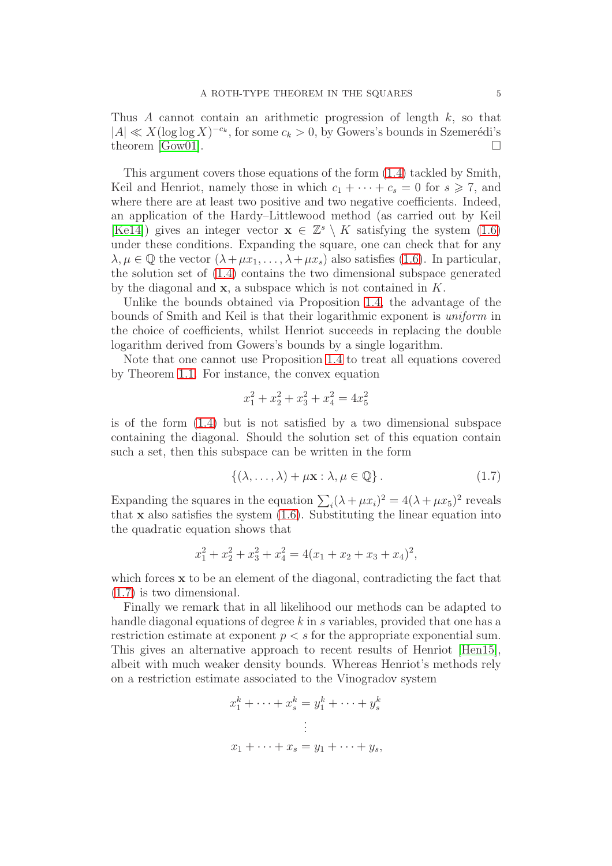Thus A cannot contain an arithmetic progression of length k, so that  $|A| \ll X(\log \log X)^{-c_k}$ , for some  $c_k > 0$ , by Gowers's bounds in Szemerédi's theorem [\[Gow01\]](#page-24-13).  $\Box$ 

This argument covers those equations of the form [\(1.4\)](#page-1-2) tackled by Smith, Keil and Henriot, namely those in which  $c_1 + \cdots + c_s = 0$  for  $s \ge 7$ , and where there are at least two positive and two negative coefficients. Indeed, an application of the Hardy–Littlewood method (as carried out by Keil [\[Ke14\]](#page-24-5)) gives an integer vector  $\mathbf{x} \in \mathbb{Z}^s \setminus K$  satisfying the system [\(1.6\)](#page-2-0) under these conditions. Expanding the square, one can check that for any  $\lambda, \mu \in \mathbb{Q}$  the vector  $(\lambda + \mu x_1, \dots, \lambda + \mu x_s)$  also satisfies [\(1.6\)](#page-2-0). In particular, the solution set of [\(1.4\)](#page-1-2) contains the two dimensional subspace generated by the diagonal and  $x$ , a subspace which is not contained in  $K$ .

Unlike the bounds obtained via Proposition [1.4,](#page-3-0) the advantage of the bounds of Smith and Keil is that their logarithmic exponent is uniform in the choice of coefficients, whilst Henriot succeeds in replacing the double logarithm derived from Gowers's bounds by a single logarithm.

Note that one cannot use Proposition [1.4](#page-3-0) to treat all equations covered by Theorem [1.1.](#page-1-0) For instance, the convex equation

$$
x_1^2 + x_2^2 + x_3^2 + x_4^2 = 4x_5^2
$$

is of the form [\(1.4\)](#page-1-2) but is not satisfied by a two dimensional subspace containing the diagonal. Should the solution set of this equation contain such a set, then this subspace can be written in the form

<span id="page-4-0"></span>
$$
\{(\lambda, \ldots, \lambda) + \mu \mathbf{x} : \lambda, \mu \in \mathbb{Q}\}.
$$
 (1.7)

Expanding the squares in the equation  $\sum_i (\lambda + \mu x_i)^2 = 4(\lambda + \mu x_5)^2$  reveals that  $x$  also satisfies the system  $(1.6)$ . Substituting the linear equation into the quadratic equation shows that

$$
x_1^2 + x_2^2 + x_3^2 + x_4^2 = 4(x_1 + x_2 + x_3 + x_4)^2,
$$

which forces  $x$  to be an element of the diagonal, contradicting the fact that [\(1.7\)](#page-4-0) is two dimensional.

Finally we remark that in all likelihood our methods can be adapted to handle diagonal equations of degree k in s variables, provided that one has a restriction estimate at exponent  $p < s$  for the appropriate exponential sum. This gives an alternative approach to recent results of Henriot [\[Hen15\]](#page-24-15), albeit with much weaker density bounds. Whereas Henriot's methods rely on a restriction estimate associated to the Vinogradov system

$$
x_1^k + \dots + x_s^k = y_1^k + \dots + y_s^k
$$

$$
\vdots
$$

$$
x_1 + \dots + x_s = y_1 + \dots + y_s,
$$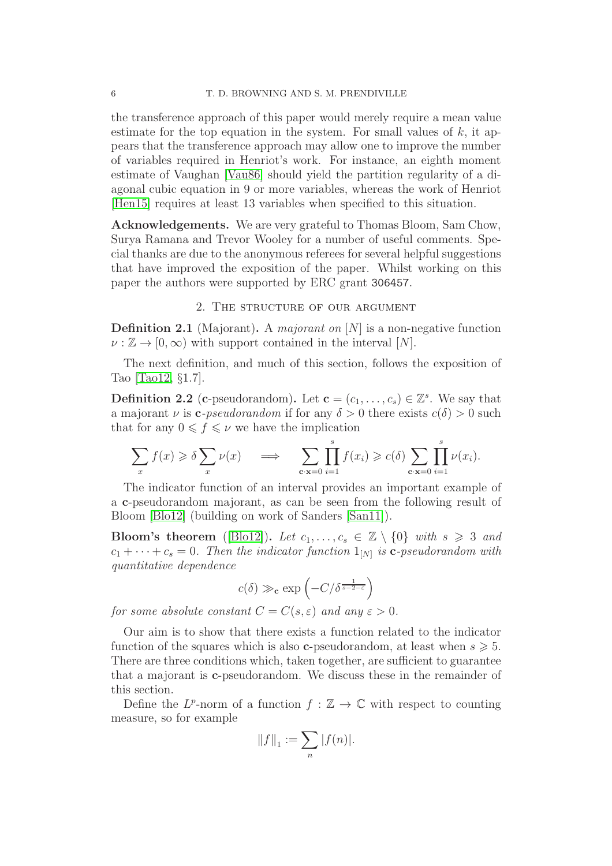the transference approach of this paper would merely require a mean value estimate for the top equation in the system. For small values of  $k$ , it appears that the transference approach may allow one to improve the number of variables required in Henriot's work. For instance, an eighth moment estimate of Vaughan [\[Vau86\]](#page-25-1) should yield the partition regularity of a diagonal cubic equation in 9 or more variables, whereas the work of Henriot [\[Hen15\]](#page-24-15) requires at least 13 variables when specified to this situation.

Acknowledgements. We are very grateful to Thomas Bloom, Sam Chow, Surya Ramana and Trevor Wooley for a number of useful comments. Special thanks are due to the anonymous referees for several helpful suggestions that have improved the exposition of the paper. Whilst working on this paper the authors were supported by ERC grant 306457.

## 2. The structure of our argument

<span id="page-5-0"></span>**Definition 2.1** (Majorant). A majorant on  $[N]$  is a non-negative function  $\nu : \mathbb{Z} \to [0, \infty)$  with support contained in the interval  $[N]$ .

The next definition, and much of this section, follows the exposition of Tao [\[Tao12,](#page-25-2) §1.7].

**Definition 2.2** (**c**-pseudorandom). Let  $\mathbf{c} = (c_1, \ldots, c_s) \in \mathbb{Z}^s$ . We say that a majorant  $\nu$  is **c**-pseudorandom if for any  $\delta > 0$  there exists  $c(\delta) > 0$  such that for any  $0 \leq f \leq \nu$  we have the implication

$$
\sum_{x} f(x) \geq \delta \sum_{x} \nu(x) \quad \implies \quad \sum_{\mathbf{c} \cdot \mathbf{x} = 0} \prod_{i=1}^{s} f(x_i) \geq c(\delta) \sum_{\mathbf{c} \cdot \mathbf{x} = 0} \prod_{i=1}^{s} \nu(x_i).
$$

The indicator function of an interval provides an important example of a c-pseudorandom majorant, as can be seen from the following result of Bloom [\[Blo12\]](#page-24-3) (building on work of Sanders [\[San11\]](#page-24-16)).

**Bloom's theorem** ([\[Blo12\]](#page-24-3)). Let  $c_1, \ldots, c_s \in \mathbb{Z} \setminus \{0\}$  with  $s \geq 3$  and  $c_1 + \cdots + c_s = 0$ . Then the indicator function  $1_{[N]}$  is **c**-pseudorandom with quantitative dependence

$$
c(\delta) \gg_{\mathbf{c}} \exp\left(-C/\delta^{\frac{1}{s-2-\varepsilon}}\right)
$$

for some absolute constant  $C = C(s, \varepsilon)$  and any  $\varepsilon > 0$ .

Our aim is to show that there exists a function related to the indicator function of the squares which is also **c**-pseudorandom, at least when  $s \geq 5$ . There are three conditions which, taken together, are sufficient to guarantee that a majorant is c-pseudorandom. We discuss these in the remainder of this section.

Define the  $L^p$ -norm of a function  $f : \mathbb{Z} \to \mathbb{C}$  with respect to counting measure, so for example

$$
||f||_1 := \sum_n |f(n)|.
$$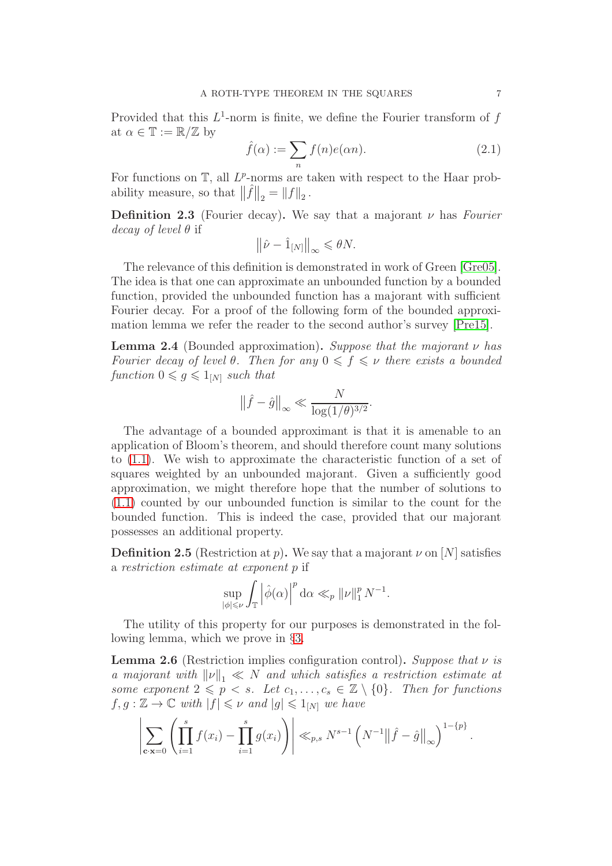Provided that this  $L^1$ -norm is finite, we define the Fourier transform of f at  $\alpha \in \mathbb{T} := \mathbb{R}/\mathbb{Z}$  by

<span id="page-6-1"></span>
$$
\hat{f}(\alpha) := \sum_{n} f(n)e(\alpha n). \tag{2.1}
$$

For functions on  $\mathbb{T}$ , all  $L^p$ -norms are taken with respect to the Haar probability measure, so that  $\|\hat{f}\|_2 = \|f\|_2$ .

**Definition 2.3** (Fourier decay). We say that a majorant  $\nu$  has Fourier decay of level  $\theta$  if

$$
\left\|\hat{\nu} - \hat{1}_{[N]}\right\|_{\infty} \leq \theta N.
$$

The relevance of this definition is demonstrated in work of Green [\[Gre05\]](#page-24-8). The idea is that one can approximate an unbounded function by a bounded function, provided the unbounded function has a majorant with sufficient Fourier decay. For a proof of the following form of the bounded approximation lemma we refer the reader to the second author's survey [\[Pre15\]](#page-24-17).

**Lemma 2.4** (Bounded approximation). Suppose that the majorant  $\nu$  has Fourier decay of level  $\theta$ . Then for any  $0 \leqslant f \leqslant \nu$  there exists a bounded function  $0 \leq g \leq 1_{[N]}$  such that

$$
\|\hat{f} - \hat{g}\|_{\infty} \ll \frac{N}{\log(1/\theta)^{3/2}}.
$$

The advantage of a bounded approximant is that it is amenable to an application of Bloom's theorem, and should therefore count many solutions to [\(1.1\)](#page-0-1). We wish to approximate the characteristic function of a set of squares weighted by an unbounded majorant. Given a sufficiently good approximation, we might therefore hope that the number of solutions to [\(1.1\)](#page-0-1) counted by our unbounded function is similar to the count for the bounded function. This is indeed the case, provided that our majorant possesses an additional property.

**Definition 2.5** (Restriction at p). We say that a majorant  $\nu$  on [N] satisfies a restriction estimate at exponent p if

$$
\sup_{|\phi| \leqslant \nu} \int_{\mathbb{T}} \left| \hat{\phi}(\alpha) \right|^p \mathrm{d}\alpha \ll_p \| \nu \|_1^p N^{-1}.
$$

The utility of this property for our purposes is demonstrated in the following lemma, which we prove in §[3.](#page-9-0)

<span id="page-6-0"></span>**Lemma 2.6** (Restriction implies configuration control). Suppose that  $\nu$  is a majorant with  $\|\nu\|_1 \ll N$  and which satisfies a restriction estimate at some exponent  $2 \leq p \leq s$ . Let  $c_1, \ldots, c_s \in \mathbb{Z} \setminus \{0\}$ . Then for functions  $f, g : \mathbb{Z} \to \mathbb{C}$  with  $|f| \leq \nu$  and  $|g| \leq 1_{[N]}$  we have

$$
\left|\sum_{\mathbf{c} \cdot \mathbf{x}=0} \left( \prod_{i=1}^s f(x_i) - \prod_{i=1}^s g(x_i) \right) \right| \ll_{p,s} N^{s-1} \left( N^{-1} \|\hat{f} - \hat{g}\|_{\infty} \right)^{1-\{p\}}.
$$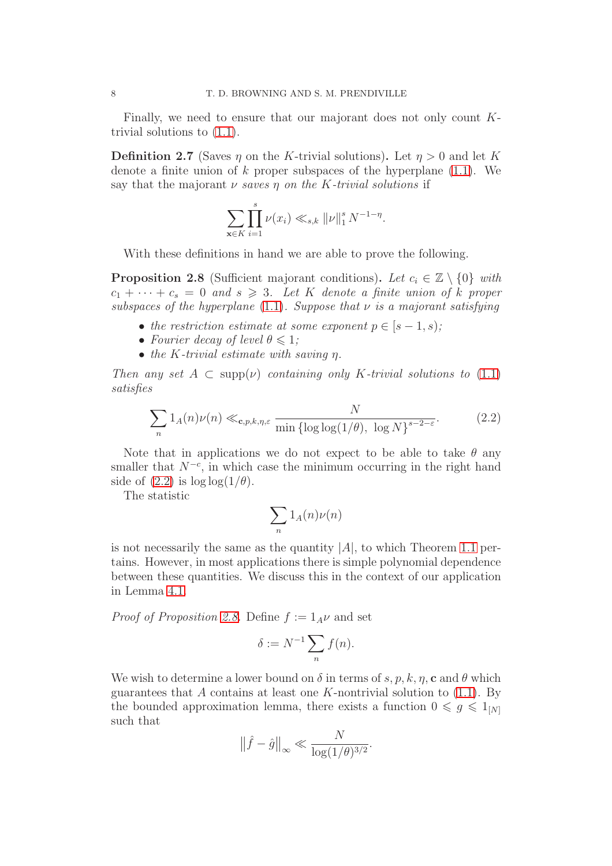Finally, we need to ensure that our majorant does not only count Ktrivial solutions to [\(1.1\)](#page-0-1).

<span id="page-7-2"></span>**Definition 2.7** (Saves  $\eta$  on the K-trivial solutions). Let  $\eta > 0$  and let K denote a finite union of  $k$  proper subspaces of the hyperplane  $(1.1)$ . We say that the majorant  $\nu$  saves  $\eta$  on the K-trivial solutions if

$$
\sum_{\mathbf{x}\in K} \prod_{i=1}^{s} \nu(x_i) \ll_{s,k} ||\nu||_1^s N^{-1-\eta}.
$$

With these definitions in hand we are able to prove the following.

<span id="page-7-1"></span>**Proposition 2.8** (Sufficient majorant conditions). Let  $c_i \in \mathbb{Z} \setminus \{0\}$  with  $c_1 + \cdots + c_s = 0$  and  $s \geq 3$ . Let K denote a finite union of k proper subspaces of the hyperplane [\(1.1\)](#page-0-1). Suppose that  $\nu$  is a majorant satisfying

- the restriction estimate at some exponent  $p \in [s-1, s);$
- Fourier decay of level  $\theta \leq 1$ ;
- the K-trivial estimate with saving η.

Then any set  $A \subset \text{supp}(\nu)$  containing only K-trivial solutions to [\(1.1\)](#page-0-1) satisfies

<span id="page-7-0"></span>
$$
\sum_{n} 1_{A}(n)\nu(n) \ll_{\mathbf{c},p,k,\eta,\varepsilon} \frac{N}{\min\{\log\log(1/\theta), \log N\}^{s-2-\varepsilon}}.
$$
 (2.2)

Note that in applications we do not expect to be able to take  $\theta$  any smaller that  $N^{-c}$ , in which case the minimum occurring in the right hand side of  $(2.2)$  is  $\log \log(1/\theta)$ .

The statistic

$$
\sum_n 1_A(n)\nu(n)
$$

is not necessarily the same as the quantity  $|A|$ , to which Theorem [1.1](#page-1-0) pertains. However, in most applications there is simple polynomial dependence between these quantities. We discuss this in the context of our application in Lemma [4.1.](#page-11-0)

*Proof of Proposition [2.8.](#page-7-1)* Define  $f := 1_A \nu$  and set

$$
\delta := N^{-1} \sum_n f(n).
$$

We wish to determine a lower bound on  $\delta$  in terms of s, p, k,  $\eta$ , c and  $\theta$  which guarantees that A contains at least one K-nontrivial solution to  $(1.1)$ . By the bounded approximation lemma, there exists a function  $0 \le g \le 1_{[N]}$ such that

$$
\|\hat{f} - \hat{g}\|_{\infty} \ll \frac{N}{\log(1/\theta)^{3/2}}.
$$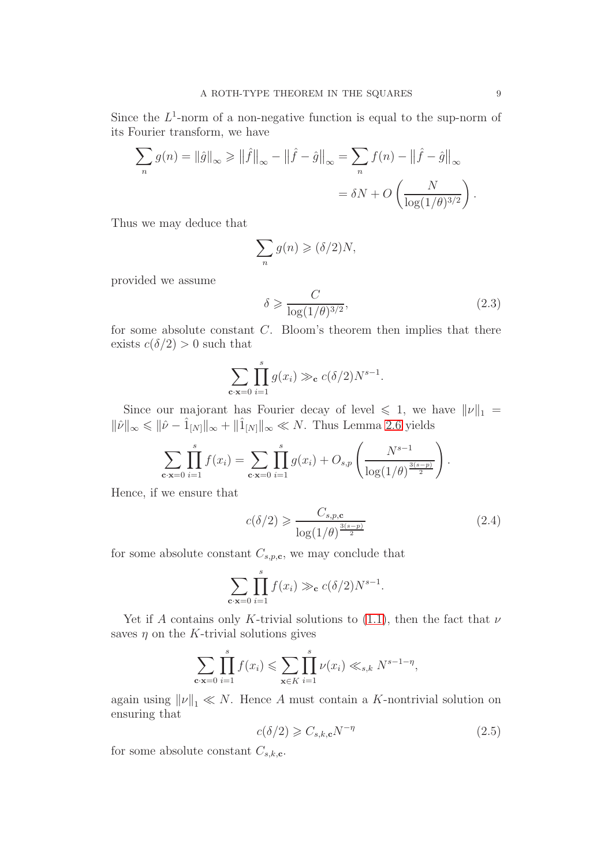Since the  $L^1$ -norm of a non-negative function is equal to the sup-norm of its Fourier transform, we have

$$
\sum_{n} g(n) = ||\hat{g}||_{\infty} \ge ||\hat{f}||_{\infty} - ||\hat{f} - \hat{g}||_{\infty} = \sum_{n} f(n) - ||\hat{f} - \hat{g}||_{\infty}
$$

$$
= \delta N + O\left(\frac{N}{\log(1/\theta)^{3/2}}\right).
$$

Thus we may deduce that

$$
\sum_{n} g(n) \geqslant (\delta/2)N,
$$

provided we assume

<span id="page-8-0"></span>
$$
\delta \geqslant \frac{C}{\log(1/\theta)^{3/2}},\tag{2.3}
$$

for some absolute constant  $C$ . Bloom's theorem then implies that there exists  $c(\delta/2) > 0$  such that

$$
\sum_{\mathbf{c}\cdot\mathbf{x}=0}\prod_{i=1}^s g(x_i) \gg_{\mathbf{c}} c(\delta/2)N^{s-1}.
$$

Since our majorant has Fourier decay of level  $\leq 1$ , we have  $||\nu||_1 =$  $\|\hat{\nu}\|_{\infty} \leqslant \|\hat{\nu} - \hat{1}_{[N]}\|_{\infty} + \|\hat{1}_{[N]}\|_{\infty} \ll N$ . Thus Lemma [2.6](#page-6-0) yields

$$
\sum_{\mathbf{c}\cdot\mathbf{x}=0}\prod_{i=1}^s f(x_i) = \sum_{\mathbf{c}\cdot\mathbf{x}=0}\prod_{i=1}^s g(x_i) + O_{s,p}\left(\frac{N^{s-1}}{\log(1/\theta)^{\frac{3(s-p)}{2}}}\right).
$$

Hence, if we ensure that

<span id="page-8-1"></span>
$$
c(\delta/2) \geqslant \frac{C_{s,p,\mathbf{c}}}{\log(1/\theta)^{\frac{3(s-p)}{2}}}
$$
\n(2.4)

for some absolute constant  $C_{s,p,\mathbf{c}}$ , we may conclude that

$$
\sum_{\mathbf{c}\cdot\mathbf{x}=0}\prod_{i=1}^s f(x_i) \gg_{\mathbf{c}} c(\delta/2)N^{s-1}.
$$

Yet if A contains only K-trivial solutions to [\(1.1\)](#page-0-1), then the fact that  $\nu$ saves  $\eta$  on the K-trivial solutions gives

$$
\sum_{\mathbf{c} \cdot \mathbf{x} = 0} \prod_{i=1}^{s} f(x_i) \leq \sum_{\mathbf{x} \in K} \prod_{i=1}^{s} \nu(x_i) \ll_{s,k} N^{s-1-\eta},
$$

again using  $\|\nu\|_1 \ll N$ . Hence A must contain a K-nontrivial solution on ensuring that

<span id="page-8-2"></span>
$$
c(\delta/2) \geqslant C_{s,k,\mathbf{c}} N^{-\eta} \tag{2.5}
$$

for some absolute constant  $C_{s,k,c}$ .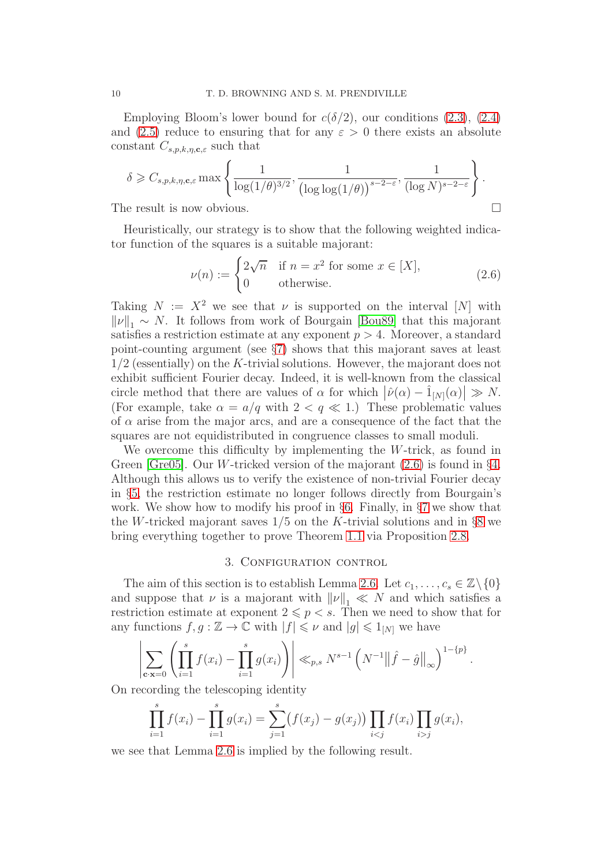Employing Bloom's lower bound for  $c(\delta/2)$ , our conditions [\(2.3\)](#page-8-0), [\(2.4\)](#page-8-1) and [\(2.5\)](#page-8-2) reduce to ensuring that for any  $\varepsilon > 0$  there exists an absolute constant  $C_{s,p,k,\eta,c,\varepsilon}$  such that

$$
\delta \geq C_{s,p,k,\eta,c,\varepsilon} \max \left\{ \frac{1}{\log(1/\theta)^{3/2}}, \frac{1}{\left(\log \log(1/\theta)\right)^{s-2-\varepsilon}}, \frac{1}{(\log N)^{s-2-\varepsilon}} \right\}.
$$
  
The result is now obvious.

Heuristically, our strategy is to show that the following weighted indicator function of the squares is a suitable majorant:

<span id="page-9-1"></span>
$$
\nu(n) := \begin{cases} 2\sqrt{n} & \text{if } n = x^2 \text{ for some } x \in [X], \\ 0 & \text{otherwise.} \end{cases}
$$
 (2.6)

Taking  $N := X^2$  we see that  $\nu$  is supported on the interval [N] with  $\|\nu\|_1 \sim N$ . It follows from work of Bourgain [\[Bou89\]](#page-24-18) that this majorant satisfies a restriction estimate at any exponent  $p > 4$ . Moreover, a standard point-counting argument (see §[7\)](#page-22-0) shows that this majorant saves at least 1/2 (essentially) on the K-trivial solutions. However, the majorant does not exhibit sufficient Fourier decay. Indeed, it is well-known from the classical circle method that there are values of  $\alpha$  for which  $|\hat{\nu}(\alpha) - \hat{1}_{[N]}(\alpha)| \gg N$ . (For example, take  $\alpha = a/q$  with  $2 < q \ll 1$ .) These problematic values of  $\alpha$  arise from the major arcs, and are a consequence of the fact that the squares are not equidistributed in congruence classes to small moduli.

We overcome this difficulty by implementing the W-trick, as found in Green [\[Gre05\]](#page-24-8). Our *W*-tricked version of the majorant  $(2.6)$  is found in §[4.](#page-10-0) Although this allows us to verify the existence of non-trivial Fourier decay in §[5,](#page-13-0) the restriction estimate no longer follows directly from Bourgain's work. We show how to modify his proof in  $\S6$ . Finally, in  $\S7$  $\S7$  we show that the W-tricked majorant saves  $1/5$  on the K-trivial solutions and in §[8](#page-23-0) we bring everything together to prove Theorem [1.1](#page-1-0) via Proposition [2.8.](#page-7-1)

## 3. CONFIGURATION CONTROL

<span id="page-9-0"></span>The aim of this section is to establish Lemma [2.6.](#page-6-0) Let  $c_1, \ldots, c_s \in \mathbb{Z} \backslash \{0\}$ and suppose that  $\nu$  is a majorant with  $\|\nu\|_1 \ll N$  and which satisfies a restriction estimate at exponent  $2 \leq p \leq s$ . Then we need to show that for any functions  $f, g : \mathbb{Z} \to \mathbb{C}$  with  $|f| \leq \nu$  and  $|g| \leq 1_{[N]}$  we have

$$
\left|\sum_{\mathbf{c} \cdot \mathbf{x}=0} \left( \prod_{i=1}^s f(x_i) - \prod_{i=1}^s g(x_i) \right) \right| \ll_{p,s} N^{s-1} \left( N^{-1} \left\| \hat{f} - \hat{g} \right\|_{\infty} \right)^{1-\{p\}}.
$$

On recording the telescoping identity

$$
\prod_{i=1}^{s} f(x_i) - \prod_{i=1}^{s} g(x_i) = \sum_{j=1}^{s} (f(x_j) - g(x_j)) \prod_{i < j} f(x_i) \prod_{i > j} g(x_i),
$$

we see that Lemma [2.6](#page-6-0) is implied by the following result.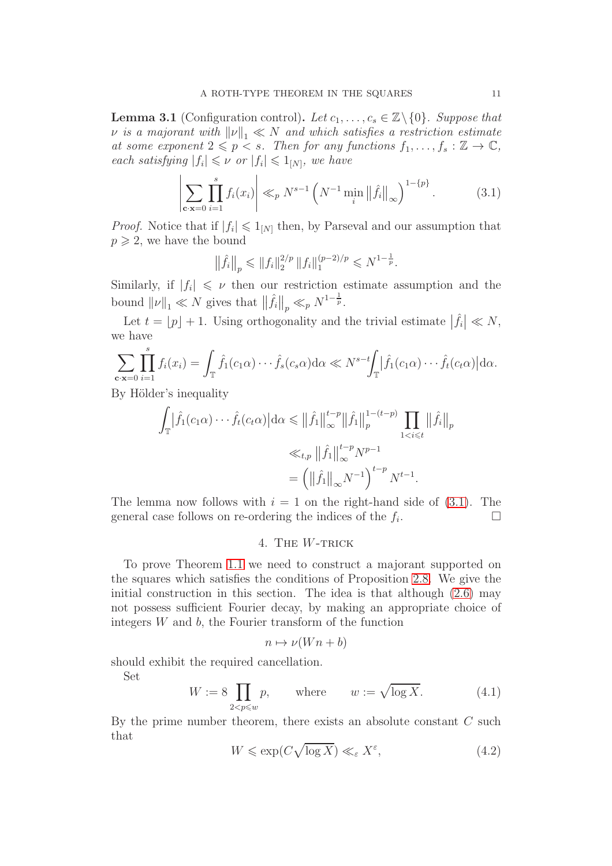**Lemma 3.1** (Configuration control). Let  $c_1, \ldots, c_s \in \mathbb{Z} \setminus \{0\}$ . Suppose that  $\nu$  is a majorant with  $\|\nu\|_1 \ll N$  and which satisfies a restriction estimate at some exponent  $2 \leq p < s$ . Then for any functions  $f_1, \ldots, f_s : \mathbb{Z} \to \mathbb{C}$ , each satisfying  $|f_i| \leq \nu$  or  $|f_i| \leq 1_{[N]}$ , we have

<span id="page-10-1"></span>
$$
\left| \sum_{\mathbf{c} \cdot \mathbf{x} = 0} \prod_{i=1}^{s} f_i(x_i) \right| \ll_p N^{s-1} \left( N^{-1} \min_i \left\| \hat{f}_i \right\|_{\infty} \right)^{1 - \{p\}}.
$$
 (3.1)

*Proof.* Notice that if  $|f_i| \leq 1_{[N]}$  then, by Parseval and our assumption that  $p \geqslant 2$ , we have the bound

$$
\left\|\hat{f}_i\right\|_p \leqslant \|f_i\|_2^{2/p} \|f_i\|_1^{(p-2)/p} \leqslant N^{1-\frac{1}{p}}.
$$

Similarly, if  $|f_i| \leq \nu$  then our restriction estimate assumption and the bound  $\|\nu\|_1 \ll N$  gives that  $\|\hat{f}_i\|_p \ll_p N^{1-\frac{1}{p}}$ .

Let  $t = \lfloor p \rfloor + 1$ . Using orthogonality and the trivial estimate  $|\hat{f}_i| \ll N$ , we have

$$
\sum_{\mathbf{c}\cdot\mathbf{x}=0}\prod_{i=1}^s f_i(x_i) = \int_{\mathbb{T}} \hat{f}_1(c_1\alpha)\cdots\hat{f}_s(c_s\alpha)\mathrm{d}\alpha \ll N^{s-t} \int_{\mathbb{T}} |\hat{f}_1(c_1\alpha)\cdots\hat{f}_t(c_t\alpha)|\mathrm{d}\alpha.
$$

By Hölder's inequality

$$
\int_{\mathbb{T}} \left| \hat{f}_1(c_1 \alpha) \cdots \hat{f}_t(c_t \alpha) \right| d\alpha \leq \left\| \hat{f}_1 \right\|_{\infty}^{t-p} \left\| \hat{f}_1 \right\|_{p}^{1-(t-p)} \prod_{1 < i \leq t} \left\| \hat{f}_i \right\|_{p}
$$
\n
$$
\ll_{t,p} \left\| \hat{f}_1 \right\|_{\infty}^{t-p} N^{p-1}
$$
\n
$$
= \left( \left\| \hat{f}_1 \right\|_{\infty} N^{-1} \right)^{t-p} N^{t-1}.
$$

<span id="page-10-0"></span>The lemma now follows with  $i = 1$  on the right-hand side of  $(3.1)$ . The general case follows on re-ordering the indices of the  $f_i$ . .

## 4. THE W-TRICK

To prove Theorem [1.1](#page-1-0) we need to construct a majorant supported on the squares which satisfies the conditions of Proposition [2.8.](#page-7-1) We give the initial construction in this section. The idea is that although [\(2.6\)](#page-9-1) may not possess sufficient Fourier decay, by making an appropriate choice of integers  $W$  and  $b$ , the Fourier transform of the function

$$
n \mapsto \nu(Wn + b)
$$

should exhibit the required cancellation.

Set

<span id="page-10-3"></span>
$$
W := 8 \prod_{2 < p \leqslant w} p, \qquad \text{where} \qquad w := \sqrt{\log X}. \tag{4.1}
$$

By the prime number theorem, there exists an absolute constant  $C$  such that

<span id="page-10-2"></span>
$$
W \leqslant \exp(C\sqrt{\log X}) \ll_{\varepsilon} X^{\varepsilon},\tag{4.2}
$$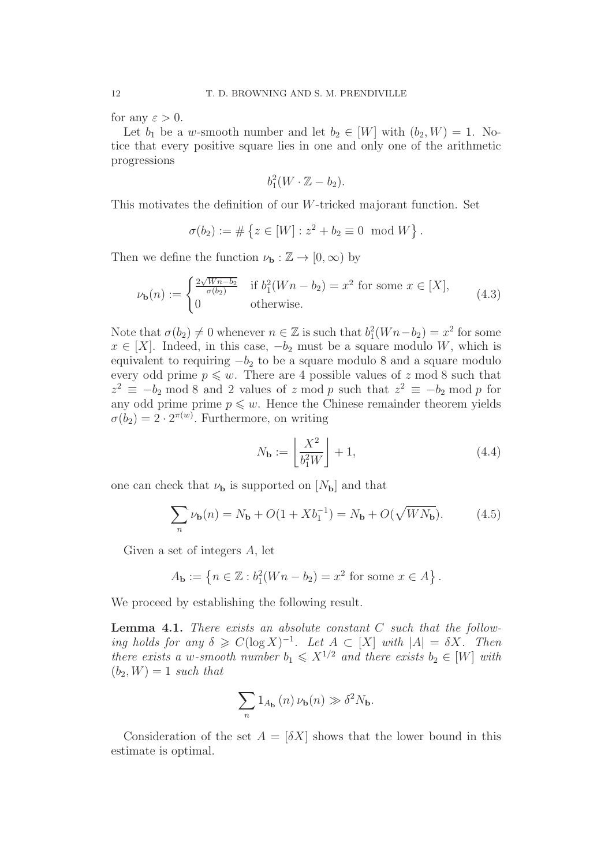for any  $\varepsilon > 0$ .

Let  $b_1$  be a w-smooth number and let  $b_2 \in [W]$  with  $(b_2, W) = 1$ . Notice that every positive square lies in one and only one of the arithmetic progressions

$$
b_1^2(W \cdot \mathbb{Z} - b_2).
$$

This motivates the definition of our W-tricked majorant function. Set

$$
\sigma(b_2) := # \{ z \in [W] : z^2 + b_2 \equiv 0 \mod W \}.
$$

Then we define the function  $\nu_{\mathbf{b}} : \mathbb{Z} \to [0, \infty)$  by

<span id="page-11-1"></span>
$$
\nu_{\mathbf{b}}(n) := \begin{cases} \frac{2\sqrt{Wn - b_2}}{\sigma(b_2)} & \text{if } b_1^2(Wn - b_2) = x^2 \text{ for some } x \in [X], \\ 0 & \text{otherwise.} \end{cases}
$$
(4.3)

Note that  $\sigma(b_2) \neq 0$  whenever  $n \in \mathbb{Z}$  is such that  $b_1^2(Wn - b_2) = x^2$  for some  $x \in [X]$ . Indeed, in this case,  $-b_2$  must be a square modulo W, which is equivalent to requiring  $-b_2$  to be a square modulo 8 and a square modulo every odd prime  $p \leq w$ . There are 4 possible values of z mod 8 such that  $z^2 \equiv -b_2 \mod 8$  and 2 values of z mod p such that  $z^2 \equiv -b_2 \mod p$  for any odd prime prime  $p \leq w$ . Hence the Chinese remainder theorem yields  $\sigma(b_2) = 2 \cdot 2^{\pi(w)}$ . Furthermore, on writing

<span id="page-11-3"></span>
$$
N_{\mathbf{b}} := \left\lfloor \frac{X^2}{b_1^2 W} \right\rfloor + 1,\tag{4.4}
$$

one can check that  $\nu_{\mathbf{b}}$  is supported on  $[N_{\mathbf{b}}]$  and that

<span id="page-11-2"></span>
$$
\sum_{n} \nu_{\mathbf{b}}(n) = N_{\mathbf{b}} + O(1 + Xb_1^{-1}) = N_{\mathbf{b}} + O(\sqrt{WN_{\mathbf{b}}}). \tag{4.5}
$$

Given a set of integers A, let

$$
A_{\mathbf{b}} := \{ n \in \mathbb{Z} : b_1^2(Wn - b_2) = x^2 \text{ for some } x \in A \}.
$$

We proceed by establishing the following result.

<span id="page-11-0"></span>**Lemma 4.1.** There exists an absolute constant  $C$  such that the following holds for any  $\delta \geqslant C(\log X)^{-1}$ . Let  $A \subset [X]$  with  $|A| = \delta X$ . Then there exists a w-smooth number  $b_1 \leqslant X^{1/2}$  and there exists  $b_2 \in [W]$  with  $(b_2, W) = 1$  such that

$$
\sum_n 1_{A_{\mathbf{b}}}\left(n\right)\nu_{\mathbf{b}}(n)\gg \delta^2N_{\mathbf{b}}.
$$

Consideration of the set  $A = [\delta X]$  shows that the lower bound in this estimate is optimal.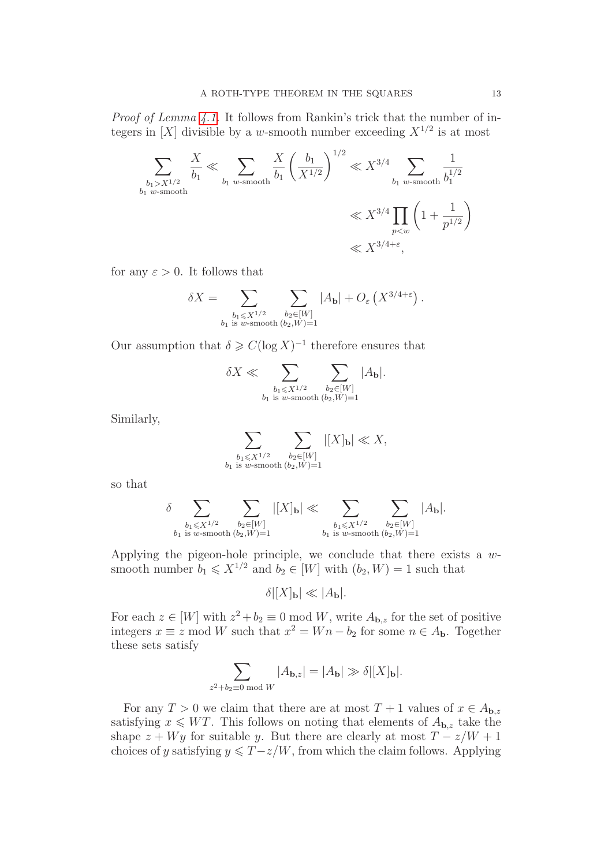Proof of Lemma [4.1.](#page-11-0) It follows from Rankin's trick that the number of integers in [X] divisible by a w-smooth number exceeding  $X^{1/2}$  is at most

$$
\sum_{\substack{b_1 > X^{1/2} \\ b_1 \text{ w-smooth}}} \frac{X}{b_1} \ll \sum_{b_1 \text{ w-smooth}} \frac{X}{b_1} \left(\frac{b_1}{X^{1/2}}\right)^{1/2} \ll X^{3/4} \sum_{\substack{b_1 \text{ w-smooth} \\ p < w}} \frac{1}{b_1^{1/2}}
$$
\n
$$
\ll X^{3/4} \prod_{p < w} \left(1 + \frac{1}{p^{1/2}}\right)
$$
\n
$$
\ll X^{3/4 + \varepsilon},
$$

for any  $\varepsilon > 0$ . It follows that

$$
\delta X = \sum_{\substack{b_1 \leqslant X^{1/2} \\ b_1 \text{ is } w\text{-smooth } (b_2, W) = 1}} \sum_{b_2 \in [W]} |A_{\mathbf{b}}| + O_{\varepsilon}\left(X^{3/4 + \varepsilon}\right).
$$

Our assumption that  $\delta \geqslant C(\log X)^{-1}$  therefore ensures that

$$
\delta X \ll \sum_{\substack{b_1 \leq X^{1/2} \\ b_1 \text{ is } w \text{-smooth} \ (b_2, W) = 1}} \sum_{b_2 \in [W]} |A_{\mathbf{b}}|.
$$

Similarly,

$$
\sum_{\substack{b_1 \leqslant X^{1/2} \\ b_1 \text{ is } w\text{-smooth } (b_2, W) = 1}} \sum_{\substack{b_2 \in [W] \\ (b_2, W) = 1}} |[X]_{\mathbf{b}}| \ll X,
$$

so that

$$
\delta \sum_{\substack{b_1 \leqslant X^{1/2} \\ b_1 \text{ is $w$-smooth}}} \sum_{\substack{b_2 \in [W] \\ (b_2, W) = 1}} |[X]_{\mathbf{b}}| \ll \sum_{\substack{b_1 \leqslant X^{1/2} \\ b_1 \text{ is $w$-smooth}}} \sum_{\substack{b_2 \in [W] \\ (b_2, W) = 1}} |A_{\mathbf{b}}|.
$$

Applying the pigeon-hole principle, we conclude that there exists a  $w$ smooth number  $b_1 \leq X^{1/2}$  and  $b_2 \in [W]$  with  $(b_2, W) = 1$  such that

 $\delta$  $|X|_b$ | «  $|A_b|$ .

For each  $z \in [W]$  with  $z^2 + b_2 \equiv 0 \mod W$ , write  $A_{\mathbf{b},z}$  for the set of positive integers  $x \equiv z \mod W$  such that  $x^2 = Wn - b_2$  for some  $n \in A_{\bf b}$ . Together these sets satisfy

$$
\sum_{z^2+b_2\equiv 0 \bmod W} |A_{\mathbf{b},z}| = |A_{\mathbf{b}}| \gg \delta |[X]_{\mathbf{b}}|.
$$

For any  $T > 0$  we claim that there are at most  $T + 1$  values of  $x \in A_{\mathbf{b},z}$ satisfying  $x \leq W T$ . This follows on noting that elements of  $A_{\mathbf{b},z}$  take the shape  $z + Wy$  for suitable y. But there are clearly at most  $T - z/W + 1$ choices of y satisfying  $y \leq T - z/W$ , from which the claim follows. Applying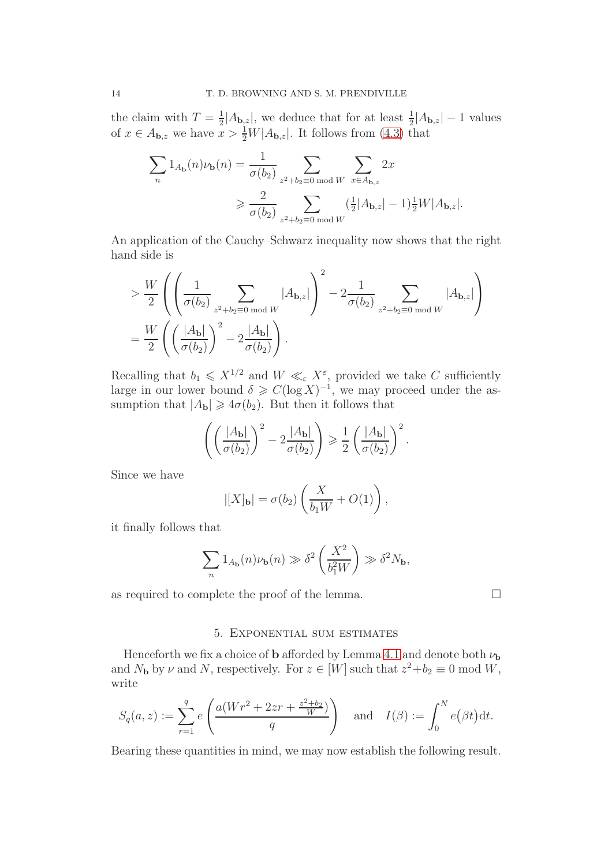the claim with  $T=\frac{1}{2}$  $\frac{1}{2}|A_{\mathbf{b},z}|$ , we deduce that for at least  $\frac{1}{2}|A_{\mathbf{b},z}|-1$  values of  $x \in A_{\mathbf{b},z}$  we have  $x > \frac{1}{2}W|A_{\mathbf{b},z}|$ . It follows from [\(4.3\)](#page-11-1) that

$$
\sum_{n} 1_{A_{\mathbf{b}}}(n)\nu_{\mathbf{b}}(n) = \frac{1}{\sigma(b_2)} \sum_{z^2 + b_2 \equiv 0 \bmod W} \sum_{x \in A_{\mathbf{b},z}} 2x
$$

$$
\geqslant \frac{2}{\sigma(b_2)} \sum_{z^2 + b_2 \equiv 0 \bmod W} \frac{(\frac{1}{2}|A_{\mathbf{b},z}| - 1)\frac{1}{2}W|A_{\mathbf{b},z}|.
$$

An application of the Cauchy–Schwarz inequality now shows that the right hand side is

$$
\geq \frac{W}{2} \left( \left( \frac{1}{\sigma(b_2)} \sum_{z^2 + b_2 \equiv 0 \bmod W} |A_{\mathbf{b}, z}| \right)^2 - 2 \frac{1}{\sigma(b_2)} \sum_{z^2 + b_2 \equiv 0 \bmod W} |A_{\mathbf{b}, z}| \right)
$$
  
= 
$$
\frac{W}{2} \left( \left( \frac{|A_{\mathbf{b}}|}{\sigma(b_2)} \right)^2 - 2 \frac{|A_{\mathbf{b}}|}{\sigma(b_2)} \right).
$$

Recalling that  $b_1 \leqslant X^{1/2}$  and  $W \ll_{\varepsilon} X^{\varepsilon}$ , provided we take C sufficiently large in our lower bound  $\delta \geqslant C(\log X)^{-1}$ , we may proceed under the assumption that  $|A_{\mathbf{b}}| \geq 4\sigma(b_2)$ . But then it follows that

$$
\left(\left(\frac{|A_{\mathbf{b}}|}{\sigma(b_2)}\right)^2 - 2\frac{|A_{\mathbf{b}}|}{\sigma(b_2)}\right) \geqslant \frac{1}{2} \left(\frac{|A_{\mathbf{b}}|}{\sigma(b_2)}\right)^2.
$$

Since we have

$$
|[X]_{\mathbf{b}}| = \sigma(b_2) \left(\frac{X}{b_1 W} + O(1)\right),\,
$$

it finally follows that

$$
\sum_{n} 1_{A_{\mathbf{b}}}(n)\nu_{\mathbf{b}}(n) \gg \delta^2 \left(\frac{X^2}{b_1^2 W}\right) \gg \delta^2 N_{\mathbf{b}},
$$

<span id="page-13-0"></span>as required to complete the proof of the lemma.  $\Box$ 

## 5. Exponential sum estimates

Henceforth we fix a choice of **b** afforded by Lemma [4.1](#page-11-0) and denote both  $\nu_{\mathbf{b}}$ and  $N_{\mathbf{b}}$  by  $\nu$  and  $N$ , respectively. For  $z \in [W]$  such that  $z^2 + b_2 \equiv 0 \mod W$ , write

$$
S_q(a, z) := \sum_{r=1}^q e\left(\frac{a(Wr^2 + 2zr + \frac{z^2 + b_2}{W})}{q}\right) \quad \text{and} \quad I(\beta) := \int_0^N e(\beta t) dt.
$$

Bearing these quantities in mind, we may now establish the following result.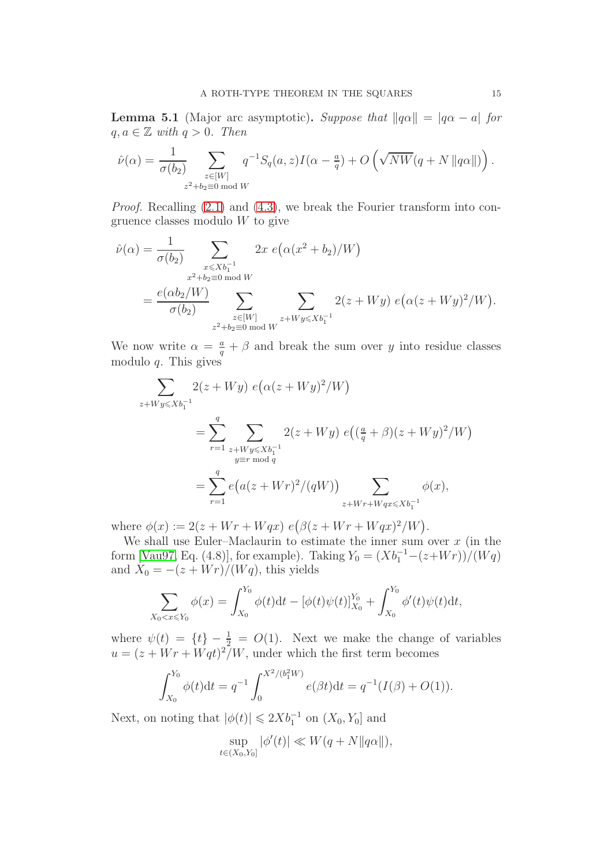<span id="page-14-0"></span>**Lemma 5.1** (Major arc asymptotic). Suppose that  $||q\alpha|| = |q\alpha - a|$  for  $q, a \in \mathbb{Z}$  with  $q > 0$ . Then

$$
\hat{\nu}(\alpha) = \frac{1}{\sigma(b_2)} \sum_{\substack{z \in [W] \\ z^2 + b_2 \equiv 0 \bmod W}} q^{-1} S_q(a, z) I(\alpha - \frac{a}{q}) + O\left(\sqrt{NW}(q + N \|q\alpha\|)\right).
$$

Proof. Recalling [\(2.1\)](#page-6-1) and [\(4.3\)](#page-11-1), we break the Fourier transform into congruence classes modulo W to give

$$
\hat{\nu}(\alpha) = \frac{1}{\sigma(b_2)} \sum_{\substack{x \le Xb_1^{-1} \\ x^2 + b_2 \equiv 0 \bmod W}} 2x \ e\left(\alpha(x^2 + b_2)/W\right)
$$
\n
$$
= \frac{e(\alpha b_2/W)}{\sigma(b_2)} \sum_{\substack{z \in [W] \\ z^2 + b_2 \equiv 0 \bmod W}} 2(z + Wy) \ e\left(\alpha(z + Wy)^2/W\right).
$$

We now write  $\alpha = \frac{a}{q} + \beta$  and break the sum over y into residue classes modulo  $q$ . This gives

$$
\sum_{z+Wy \le Xb_1^{-1}} 2(z+Wy) e(\alpha(z+Wy)^2/W)
$$
  
= 
$$
\sum_{r=1}^{q} \sum_{\substack{z+Wy \le Xb_1^{-1} \\ y \equiv r \bmod q}} 2(z+Wy) e((\frac{a}{q}+\beta)(z+Wy)^2/W)
$$
  
= 
$$
\sum_{r=1}^{q} e(a(z+Wr)^2/(qW)) \sum_{z+Wr+Wqx \le Xb_1^{-1}} \phi(x),
$$

where  $\phi(x) := 2(z + Wr + Wqx) e(\beta(z + Wr + Wqx)^2/W)$ .

We shall use Euler–Maclaurin to estimate the inner sum over  $x$  (in the form [\[Vau97,](#page-25-3) Eq. (4.8)], for example). Taking  $Y_0 = (Xb_1^{-1} - (z+Wr))/(Wq)$ and  $X_0 = -(z + Wr)/(Wq)$ , this yields

$$
\sum_{X_0 < x \le Y_0} \phi(x) = \int_{X_0}^{Y_0} \phi(t) \mathrm{d}t - [\phi(t)\psi(t)]_{X_0}^{Y_0} + \int_{X_0}^{Y_0} \phi'(t)\psi(t) \mathrm{d}t,
$$

where  $\psi(t) = \{t\} - \frac{1}{2} = O(1)$ . Next we make the change of variables  $u = (z + Wr + Wqt)^2/W$ , under which the first term becomes

$$
\int_{X_0}^{Y_0} \phi(t) dt = q^{-1} \int_0^{X^2/(b_1^2 W)} e(\beta t) dt = q^{-1} (I(\beta) + O(1)).
$$

Next, on noting that  $|\phi(t)| \leq 2Xb_1^{-1}$  on  $(X_0, Y_0]$  and

$$
\sup_{t \in (X_0, Y_0]} |\phi'(t)| \ll W(q + N ||q\alpha||),
$$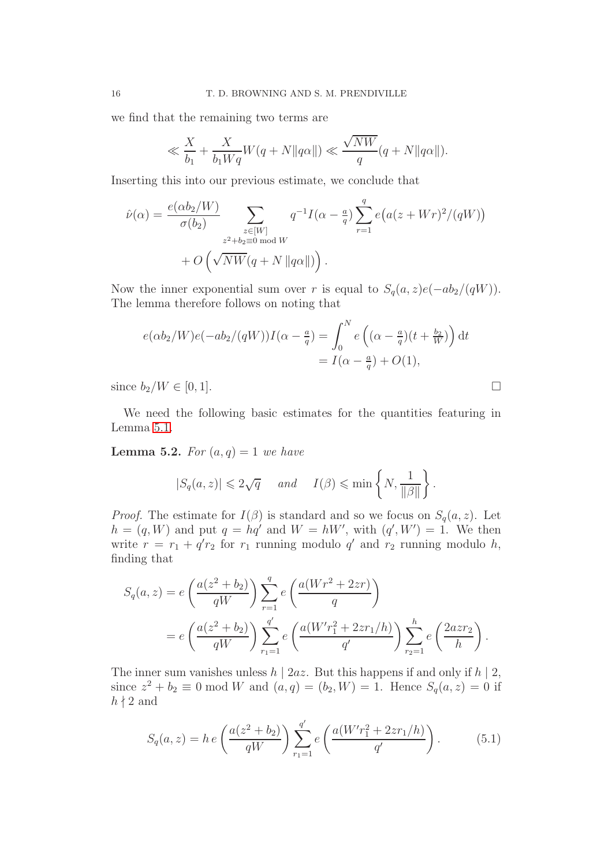we find that the remaining two terms are

$$
\ll \frac{X}{b_1} + \frac{X}{b_1 W q} W(q + N \|q\alpha\|) \ll \frac{\sqrt{NW}}{q} (q + N \|q\alpha\|).
$$

Inserting this into our previous estimate, we conclude that

$$
\hat{\nu}(\alpha) = \frac{e(\alpha b_2/W)}{\sigma(b_2)} \sum_{\substack{z \in [W] \\ z^2 + b_2 \equiv 0 \bmod W}} q^{-1} I(\alpha - \frac{a}{q}) \sum_{r=1}^q e\big(a(z + Wr)^2/(qW)\big) + O\left(\sqrt{NW}(q + N \|q\alpha\|)\right).
$$

Now the inner exponential sum over r is equal to  $S_q(a, z)e(-ab_2/(qW))$ . The lemma therefore follows on noting that

$$
e(\alpha b_2/W)e(-ab_2/(qW))I(\alpha - \frac{a}{q}) = \int_0^N e\left((\alpha - \frac{a}{q})(t + \frac{b_2}{W})\right)dt
$$
  
=  $I(\alpha - \frac{a}{q}) + O(1),$ 

since  $b_2/W \in [0,1]$ .

We need the following basic estimates for the quantities featuring in Lemma [5.1.](#page-14-0)

<span id="page-15-1"></span>**Lemma 5.2.** For  $(a, q) = 1$  we have

$$
|S_q(a, z)| \leq 2\sqrt{q} \quad \text{and} \quad I(\beta) \leq \min\left\{N, \frac{1}{\|\beta\|}\right\}.
$$

*Proof.* The estimate for  $I(\beta)$  is standard and so we focus on  $S_q(a, z)$ . Let  $h = (q, W)$  and put  $q = hq'$  and  $W = hW'$ , with  $(q', W') = 1$ . We then write  $r = r_1 + q'r_2$  for  $r_1$  running modulo  $q'$  and  $r_2$  running modulo h, finding that

$$
S_q(a, z) = e\left(\frac{a(z^2 + b_2)}{qW}\right) \sum_{r=1}^q e\left(\frac{a(Wr^2 + 2zr)}{q}\right)
$$
  
=  $e\left(\frac{a(z^2 + b_2)}{qW}\right) \sum_{r=1}^{q'} e\left(\frac{a(W'r_1^2 + 2zr_1/h)}{q'}\right) \sum_{r=1}^h e\left(\frac{2azr_2}{h}\right).$ 

The inner sum vanishes unless  $h \mid 2az$ . But this happens if and only if  $h \mid 2$ , since  $z^2 + b_2 \equiv 0 \mod W$  and  $(a, q) = (b_2, W) = 1$ . Hence  $S_q(a, z) = 0$  if  $h \nmid 2$  and

<span id="page-15-0"></span>
$$
S_q(a, z) = h e\left(\frac{a(z^2 + b_2)}{qW}\right) \sum_{r_1=1}^{q'} e\left(\frac{a(W'r_1^2 + 2zr_1/h)}{q'}\right). \tag{5.1}
$$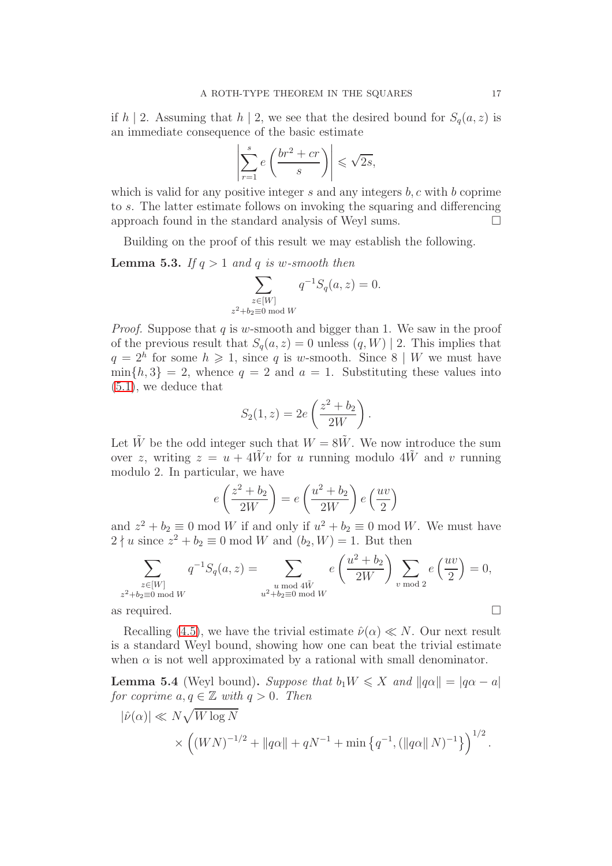if h | 2. Assuming that h | 2, we see that the desired bound for  $S_q(a, z)$  is an immediate consequence of the basic estimate

$$
\left| \sum_{r=1}^{s} e\left(\frac{br^2 + cr}{s}\right) \right| \leqslant \sqrt{2s},
$$

which is valid for any positive integer s and any integers  $b, c$  with b coprime to s. The latter estimate follows on invoking the squaring and differencing approach found in the standard analysis of Weyl sums.

Building on the proof of this result we may establish the following.

<span id="page-16-1"></span>**Lemma 5.3.** If  $q > 1$  and q is w-smooth then

$$
\sum_{\substack{z \in [W] \\ z^2 + b_2 \equiv 0 \bmod W}} q^{-1} S_q(a, z) = 0.
$$

*Proof.* Suppose that  $q$  is w-smooth and bigger than 1. We saw in the proof of the previous result that  $S_q(a, z) = 0$  unless  $(q, W) | 2$ . This implies that  $q = 2^h$  for some  $h \ge 1$ , since q is w-smooth. Since  $8 \mid W$  we must have  $\min\{h, 3\} = 2$ , whence  $q = 2$  and  $a = 1$ . Substituting these values into [\(5.1\)](#page-15-0), we deduce that

$$
S_2(1, z) = 2e\left(\frac{z^2 + b_2}{2W}\right).
$$

Let  $\tilde{W}$  be the odd integer such that  $W = 8\tilde{W}$ . We now introduce the sum over z, writing  $z = u + 4Wv$  for u running modulo  $4\tilde{W}$  and v running modulo 2. In particular, we have

$$
e\left(\frac{z^2 + b_2}{2W}\right) = e\left(\frac{u^2 + b_2}{2W}\right)e\left(\frac{uv}{2}\right)
$$

and  $z^2 + b_2 \equiv 0 \mod W$  if and only if  $u^2 + b_2 \equiv 0 \mod W$ . We must have  $2 \nmid u$  since  $z^2 + b_2 \equiv 0 \mod W$  and  $(b_2, W) = 1$ . But then

$$
\sum_{\substack{z \in [W] \\ z^2 + b_2 \equiv 0 \bmod W}} q^{-1} S_q(a, z) = \sum_{\substack{u \bmod 4\tilde{W} \\ u^2 + b_2 \equiv 0 \bmod W}} e\left(\frac{u^2 + b_2}{2W}\right) \sum_{v \bmod 2} e\left(\frac{uv}{2}\right) = 0,
$$
\nas required.

Recalling [\(4.5\)](#page-11-2), we have the trivial estimate  $\hat{\nu}(\alpha) \ll N$ . Our next result is a standard Weyl bound, showing how one can beat the trivial estimate when  $\alpha$  is not well approximated by a rational with small denominator.

<span id="page-16-0"></span>**Lemma 5.4** (Weyl bound). Suppose that  $b_1 W \leq X$  and  $||q\alpha|| = |q\alpha - a|$ for coprime  $a, q \in \mathbb{Z}$  with  $q > 0$ . Then

$$
|\hat{\nu}(\alpha)| \ll N\sqrt{W \log N}
$$
  
  $\times \left( (WN)^{-1/2} + ||q\alpha|| + qN^{-1} + \min \{q^{-1}, (||q\alpha|| N)^{-1}\} \right)^{1/2}.$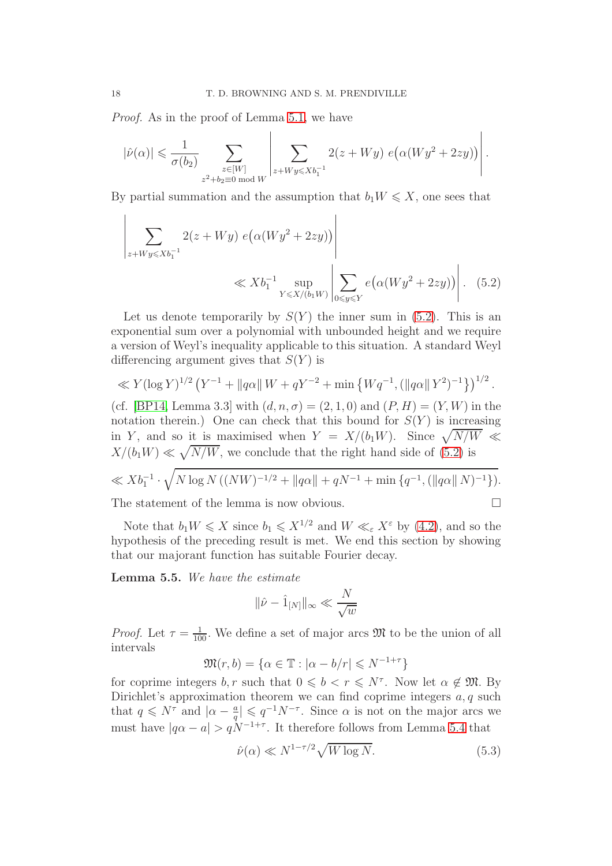Proof. As in the proof of Lemma [5.1,](#page-14-0) we have

$$
|\hat{\nu}(\alpha)| \leq \frac{1}{\sigma(b_2)} \sum_{\substack{z \in [W] \\ z^2 + b_2 \equiv 0 \bmod{W}}} \left| \sum_{z + W y \leqslant X b_1^{-1}} 2(z + W y) e(\alpha (W y^2 + 2zy)) \right|.
$$

By partial summation and the assumption that  $b_1 W \leq X$ , one sees that

<span id="page-17-0"></span>
$$
\left| \sum_{z + W y \le X b_1^{-1}} 2(z + W y) e(\alpha(W y^2 + 2zy)) \right|
$$
  
 
$$
\ll X b_1^{-1} \sup_{Y \le X/(b_1 W)} \left| \sum_{0 \le y \le Y} e(\alpha(W y^2 + 2zy)) \right|.
$$
 (5.2)

Let us denote temporarily by  $S(Y)$  the inner sum in [\(5.2\)](#page-17-0). This is an exponential sum over a polynomial with unbounded height and we require a version of Weyl's inequality applicable to this situation. A standard Weyl differencing argument gives that  $S(Y)$  is

$$
\ll Y(\log Y)^{1/2} (Y^{-1} + ||q\alpha|| W + qY^{-2} + \min \{Wq^{-1}, (||q\alpha|| Y^2)^{-1}\})^{1/2}.
$$

(cf. [\[BP14,](#page-24-19) Lemma 3.3] with  $(d, n, \sigma) = (2, 1, 0)$  and  $(P, H) = (Y, W)$  in the notation therein.) One can check that this bound for  $S(Y)$  is increasing in Y, and so it is maximised when  $Y = X/(b_1 W)$ . Since  $\sqrt{N/W} \ll$  $X/(b_1W) \ll \sqrt{N/W}$ , we conclude that the right hand side of [\(5.2\)](#page-17-0) is

$$
\ll Xb_1^{-1} \cdot \sqrt{N \log N ((NW)^{-1/2} + ||q\alpha|| + qN^{-1} + \min \{q^{-1}, (||q\alpha|| N)^{-1}\})}.
$$

The statement of the lemma is now obvious.  $\Box$ 

Note that  $b_1 W \leqslant X$  since  $b_1 \leqslant X^{1/2}$  and  $W \ll_{\varepsilon} X^{\varepsilon}$  by [\(4.2\)](#page-10-2), and so the hypothesis of the preceding result is met. We end this section by showing that our majorant function has suitable Fourier decay.

<span id="page-17-1"></span>Lemma 5.5. We have the estimate

$$
\|\hat{\nu} - \hat{1}_{[N]}\|_{\infty} \ll \frac{N}{\sqrt{w}}
$$

*Proof.* Let  $\tau = \frac{1}{100}$ . We define a set of major arcs  $\mathfrak{M}$  to be the union of all intervals

$$
\mathfrak{M}(r,b) = \{ \alpha \in \mathbb{T} : |\alpha - b/r| \leq N^{-1+\tau} \}
$$

for coprime integers  $b, r$  such that  $0 \leq b < r \leq N^{\tau}$ . Now let  $\alpha \notin \mathfrak{M}$ . By Dirichlet's approximation theorem we can find coprime integers  $a, q$  such that  $q \leq N^{\tau}$  and  $\vert \alpha - \frac{a}{q} \vert$  $\frac{a}{q} \leq q^{-1} N^{-\tau}$ . Since  $\alpha$  is not on the major arcs we must have  $|q\alpha - a| > qN^{-1+\tau}$ . It therefore follows from Lemma [5.4](#page-16-0) that

<span id="page-17-2"></span>
$$
\hat{\nu}(\alpha) \ll N^{1-\tau/2} \sqrt{W \log N}.\tag{5.3}
$$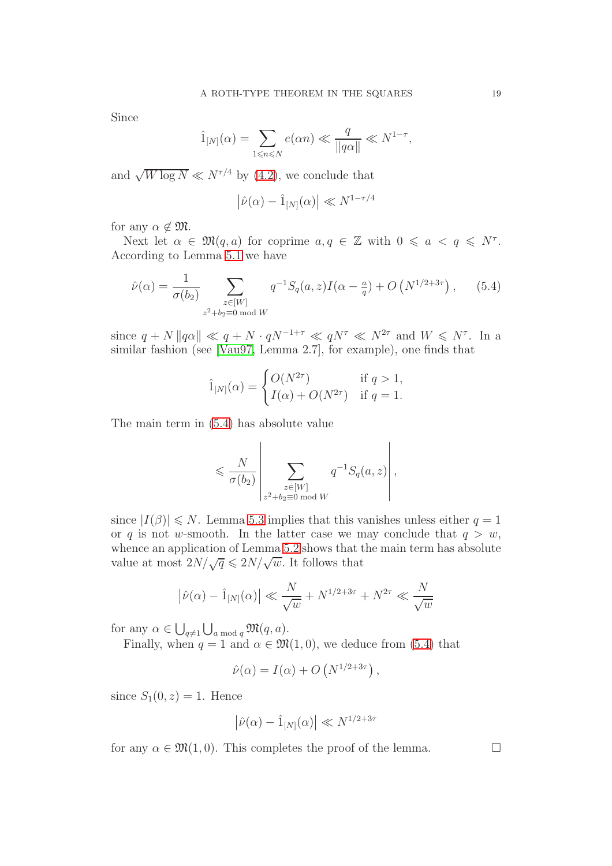Since

$$
\hat{1}_{[N]}(\alpha) = \sum_{1 \le n \le N} e(\alpha n) \ll \frac{q}{\|q\alpha\|} \ll N^{1-\tau},
$$

and  $\sqrt{W \log N} \ll N^{\tau/4}$  by [\(4.2\)](#page-10-2), we conclude that

$$
\left|\hat{\nu}(\alpha) - \hat{1}_{[N]}(\alpha)\right| \ll N^{1-\tau/4}
$$

for any  $\alpha \notin \mathfrak{M}$ .

Next let  $\alpha \in \mathfrak{M}(q,a)$  for coprime  $a, q \in \mathbb{Z}$  with  $0 \leq a < q \leq N^{\tau}$ . According to Lemma [5.1](#page-14-0) we have

<span id="page-18-0"></span>
$$
\hat{\nu}(\alpha) = \frac{1}{\sigma(b_2)} \sum_{\substack{z \in [W] \\ z^2 + b_2 \equiv 0 \bmod W}} q^{-1} S_q(a, z) I(\alpha - \frac{a}{q}) + O(N^{1/2 + 3\tau}), \quad (5.4)
$$

since  $q + N \|q\alpha\| \ll q + N \cdot qN^{-1+\tau} \ll qN^{\tau} \ll N^{2\tau}$  and  $W \leq N^{\tau}$ . In a similar fashion (see [\[Vau97,](#page-25-3) Lemma 2.7], for example), one finds that

$$
\hat{1}_{[N]}(\alpha) = \begin{cases} O(N^{2\tau}) & \text{if } q > 1, \\ I(\alpha) + O(N^{2\tau}) & \text{if } q = 1. \end{cases}
$$

The main term in [\(5.4\)](#page-18-0) has absolute value

$$
\leqslant \frac{N}{\sigma(b_2)}\left|\sum_{\substack{z\in [W] \\ z^2+b_2\equiv 0 \bmod{W}}}q^{-1}S_q(a,z)\right|,
$$

since  $|I(\beta)| \leq N$ . Lemma [5.3](#page-16-1) implies that this vanishes unless either  $q = 1$ or q is not w-smooth. In the latter case we may conclude that  $q > w$ , whence an application of Lemma [5.2](#page-15-1) shows that the main term has absolute value at most  $2N/\sqrt{q} \leq 2N/\sqrt{w}$ . It follows that

$$
|\hat{\nu}(\alpha) - \hat{1}_{[N]}(\alpha)| \ll \frac{N}{\sqrt{w}} + N^{1/2 + 3\tau} + N^{2\tau} \ll \frac{N}{\sqrt{w}}
$$

for any  $\alpha \in \bigcup_{q \neq 1} \bigcup_{a \bmod q} \mathfrak{M}(q, a)$ .

Finally, when  $q = 1$  and  $\alpha \in \mathfrak{M}(1,0)$ , we deduce from [\(5.4\)](#page-18-0) that

$$
\hat{\nu}(\alpha) = I(\alpha) + O\left(N^{1/2 + 3\tau}\right),\,
$$

since  $S_1(0, z) = 1$ . Hence

$$
\left|\hat{\nu}(\alpha) - \hat{1}_{[N]}(\alpha)\right| \ll N^{1/2 + 3\tau}
$$

for any  $\alpha \in \mathfrak{M}(1,0)$ . This completes the proof of the lemma.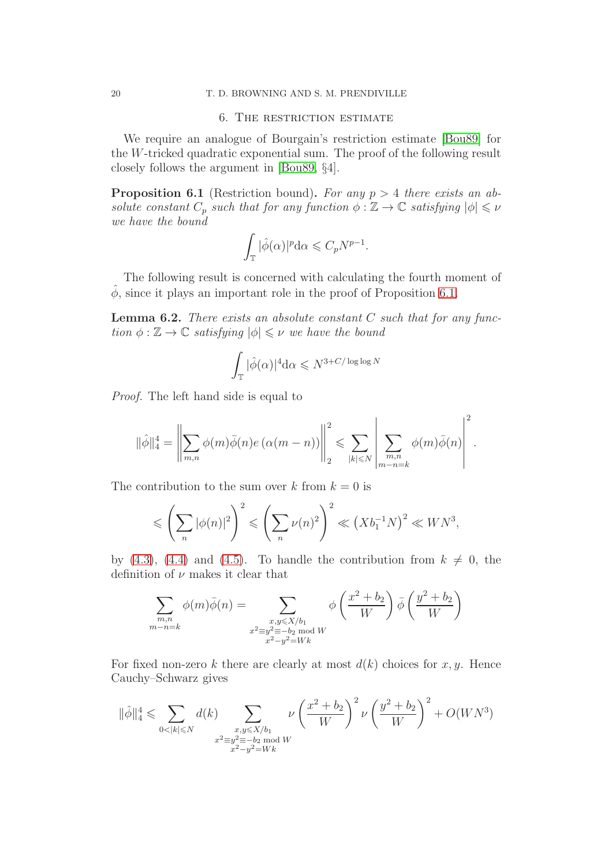#### <span id="page-19-0"></span>20 T. D. BROWNING AND S. M. PRENDIVILLE

## 6. The restriction estimate

We require an analogue of Bourgain's restriction estimate [\[Bou89\]](#page-24-18) for the W-tricked quadratic exponential sum. The proof of the following result closely follows the argument in [\[Bou89,](#page-24-18) §4].

<span id="page-19-1"></span>**Proposition 6.1** (Restriction bound). For any  $p > 4$  there exists an absolute constant  $C_p$  such that for any function  $\phi : \mathbb{Z} \to \mathbb{C}$  satisfying  $|\phi| \leq \nu$ we have the bound

$$
\int_{\mathbb{T}} |\hat{\phi}(\alpha)|^p \mathrm{d}\alpha \leqslant C_p N^{p-1}.
$$

The following result is concerned with calculating the fourth moment of  $\phi$ , since it plays an important role in the proof of Proposition [6.1.](#page-19-1)

<span id="page-19-2"></span>**Lemma 6.2.** There exists an absolute constant  $C$  such that for any function  $\phi : \mathbb{Z} \to \mathbb{C}$  satisfying  $|\phi| \leq \nu$  we have the bound

$$
\int_{\mathbb{T}} |\hat{\phi}(\alpha)|^4 d\alpha \leq N^{3+C/\log\log N}
$$

Proof. The left hand side is equal to

$$
\|\hat{\phi}\|_4^4 = \left\|\sum_{m,n} \phi(m)\bar{\phi}(n)e\left(\alpha(m-n)\right)\right\|_2^2 \leqslant \sum_{|k| \leqslant N} \left\|\sum_{\substack{m,n \\ m-n=k}} \phi(m)\bar{\phi}(n)\right\|^2.
$$

The contribution to the sum over k from  $k = 0$  is

$$
\leqslant \left(\sum_n |\phi(n)|^2\right)^2 \leqslant \left(\sum_n \nu(n)^2\right)^2 \ll \left(Xb_1^{-1}N\right)^2 \ll WN^3,
$$

by [\(4.3\)](#page-11-1), [\(4.4\)](#page-11-3) and [\(4.5\)](#page-11-2). To handle the contribution from  $k \neq 0$ , the definition of  $\nu$  makes it clear that

$$
\sum_{\substack{m,n \ m-n=k}} \phi(m)\bar{\phi}(n) = \sum_{\substack{x,y \le X/b_1 \ x^2 \equiv y^2 \equiv -b_2 \bmod{W} \\ x^2 \equiv y^2 \equiv Wk}} \phi\left(\frac{x^2 + b_2}{W}\right) \bar{\phi}\left(\frac{y^2 + b_2}{W}\right)
$$

For fixed non-zero k there are clearly at most  $d(k)$  choices for x, y. Hence Cauchy–Schwarz gives

$$
\|\hat{\phi}\|_{4}^{4} \leqslant \sum_{0<|k|\leqslant N} d(k) \sum_{\substack{x,y\leqslant X/b_{1}\\ x^{2}\equiv y^{2}\equiv -b_{2}\bmod W \\ x^{2}-y^{2}=Wk}} \nu \left(\frac{x^{2}+b_{2}}{W}\right)^{2} \nu \left(\frac{y^{2}+b_{2}}{W}\right)^{2} + O(WN^{3})
$$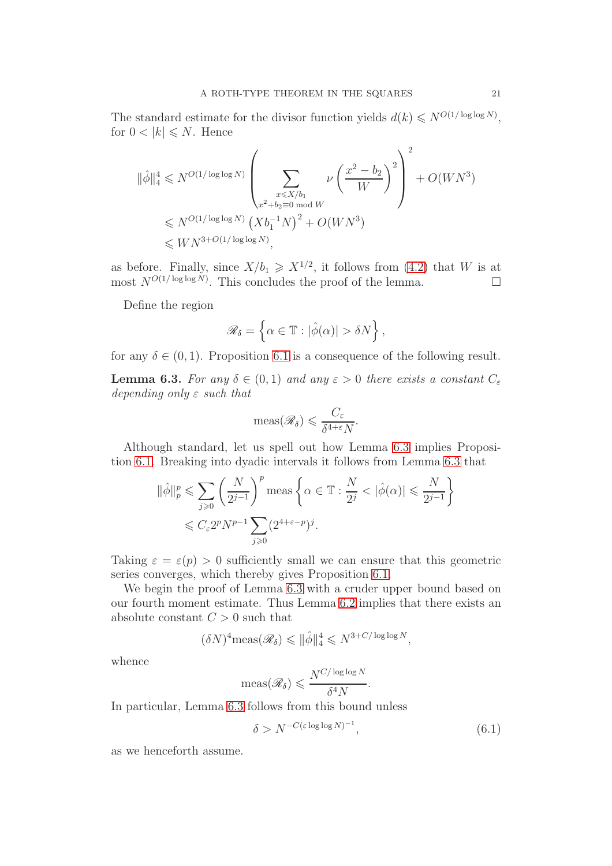The standard estimate for the divisor function yields  $d(k) \leq N^{O(1/\log \log N)}$ , for  $0 < |k| \leq N$ . Hence

$$
\begin{split} \|\hat{\phi}\|_{4}^{4} &\leqslant N^{O(1/\log\log N)}\left(\sum_{\substack{x\leqslant X/b_{1}\\ x^{2}+b_{2}\equiv 0 \bmod W}}\nu\left(\frac{x^{2}-b_{2}}{W}\right)^{2}\right)^{2}+O(WN^{3})\\ &\leqslant N^{O(1/\log\log N)}\left(Xb_{1}^{-1}N\right)^{2}+O(WN^{3})\\ &\leqslant WN^{3+O(1/\log\log N)}, \end{split}
$$

as before. Finally, since  $X/b_1 \geq X^{1/2}$ , it follows from [\(4.2\)](#page-10-2) that W is at most  $N^{O(1/\log \log N)}$ . This concludes the proof of the lemma.

Define the region

$$
\mathscr{R}_{\delta} = \left\{ \alpha \in \mathbb{T} : |\hat{\phi}(\alpha)| > \delta N \right\},\
$$

for any  $\delta \in (0, 1)$ . Proposition [6.1](#page-19-1) is a consequence of the following result.

<span id="page-20-0"></span>**Lemma 6.3.** For any  $\delta \in (0,1)$  and any  $\varepsilon > 0$  there exists a constant  $C_{\varepsilon}$ depending only  $\varepsilon$  such that

$$
\operatorname{meas}(\mathscr{R}_{\delta}) \leqslant \frac{C_{\varepsilon}}{\delta^{4+\varepsilon}N}.
$$

Although standard, let us spell out how Lemma [6.3](#page-20-0) implies Proposition [6.1.](#page-19-1) Breaking into dyadic intervals it follows from Lemma [6.3](#page-20-0) that

$$
\begin{aligned} \|\hat{\phi}\|_p^p &\leqslant \sum_{j\geqslant 0} \left(\frac{N}{2^{j-1}}\right)^p\mathrm{meas}\left\{\alpha\in\mathbb{T}: \frac{N}{2^j}<|\hat{\phi}(\alpha)|\leqslant \frac{N}{2^{j-1}}\right\}\\ &\leqslant C_\varepsilon 2^pN^{p-1}\sum_{j\geqslant 0} (2^{4+\varepsilon-p})^j. \end{aligned}
$$

Taking  $\varepsilon = \varepsilon(p) > 0$  sufficiently small we can ensure that this geometric series converges, which thereby gives Proposition [6.1.](#page-19-1)

We begin the proof of Lemma [6.3](#page-20-0) with a cruder upper bound based on our fourth moment estimate. Thus Lemma [6.2](#page-19-2) implies that there exists an absolute constant  $C > 0$  such that

$$
(\delta N)^4 \text{meas}(\mathcal{R}_{\delta}) \leq \|\hat{\phi}\|_4^4 \leq N^{3+C/\log\log N},
$$

whence

$$
\operatorname{meas}(\mathscr{R}_{\delta}) \leqslant \frac{N^{C/\log\log N}}{\delta^4 N}.
$$

In particular, Lemma [6.3](#page-20-0) follows from this bound unless

<span id="page-20-1"></span>
$$
\delta > N^{-C(\varepsilon \log \log N)^{-1}},\tag{6.1}
$$

as we henceforth assume.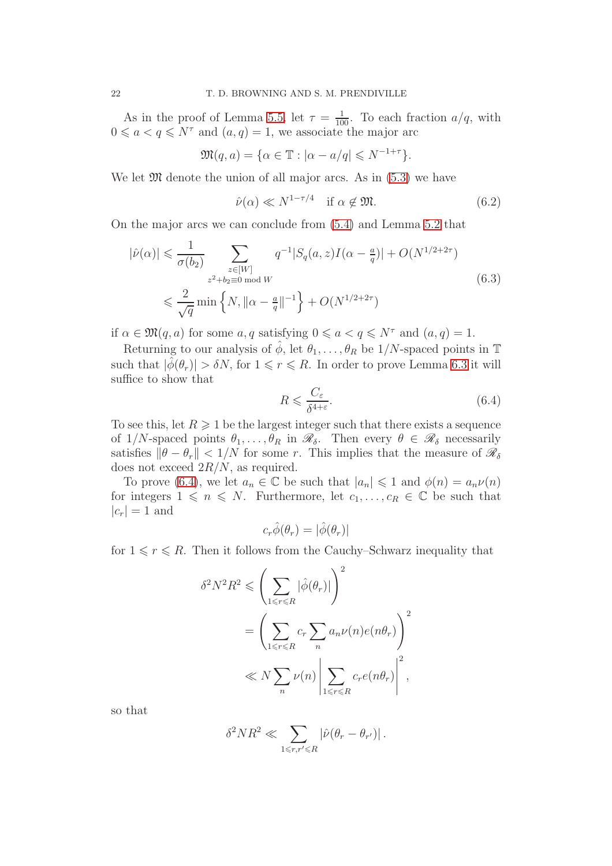As in the proof of Lemma [5.5,](#page-17-1) let  $\tau = \frac{1}{100}$ . To each fraction  $a/q$ , with  $0 \leq a < q \leq N^{\tau}$  and  $(a, q) = 1$ , we associate the major arc

$$
\mathfrak{M}(q,a) = \{ \alpha \in \mathbb{T} : |\alpha - a/q| \leq N^{-1+\tau} \}.
$$

We let  $\mathfrak{M}$  denote the union of all major arcs. As in  $(5.3)$  we have

<span id="page-21-1"></span>
$$
\hat{\nu}(\alpha) \ll N^{1-\tau/4} \quad \text{if } \alpha \notin \mathfrak{M}. \tag{6.2}
$$

On the major arcs we can conclude from [\(5.4\)](#page-18-0) and Lemma [5.2](#page-15-1) that

<span id="page-21-2"></span>
$$
|\hat{\nu}(\alpha)| \leq \frac{1}{\sigma(b_2)} \sum_{\substack{z \in [W] \\ z^2 + b_2 \equiv 0 \bmod W}} q^{-1} |S_q(a, z)I(\alpha - \frac{a}{q})| + O(N^{1/2 + 2\tau})
$$
  

$$
\leq \frac{2}{\sqrt{q}} \min \left\{ N, \|\alpha - \frac{a}{q}\|^{-1} \right\} + O(N^{1/2 + 2\tau})
$$
(6.3)

if  $\alpha \in \mathfrak{M}(q, a)$  for some  $a, q$  satisfying  $0 \leq a < q \leq N^{\tau}$  and  $(a, q) = 1$ .

Returning to our analysis of  $\hat{\phi}$ , let  $\theta_1, \ldots, \theta_R$  be  $1/N$ -spaced points in T such that  $|\phi(\theta_r)| > \delta N$ , for  $1 \leq r \leq R$ . In order to prove Lemma [6.3](#page-20-0) it will suffice to show that

<span id="page-21-0"></span>
$$
R \leqslant \frac{C_{\varepsilon}}{\delta^{4+\varepsilon}}.\tag{6.4}
$$

To see this, let  $R \geq 1$  be the largest integer such that there exists a sequence of  $1/N$ -spaced points  $\theta_1, \ldots, \theta_R$  in  $\mathscr{R}_{\delta}$ . Then every  $\theta \in \mathscr{R}_{\delta}$  necessarily satisfies  $\|\theta - \theta_r\| < 1/N$  for some r. This implies that the measure of  $\mathscr{R}_{\delta}$ does not exceed  $2R/N$ , as required.

To prove [\(6.4\)](#page-21-0), we let  $a_n \in \mathbb{C}$  be such that  $|a_n| \leq 1$  and  $\phi(n) = a_n \nu(n)$ for integers  $1 \leq n \leq N$ . Furthermore, let  $c_1, \ldots, c_R \in \mathbb{C}$  be such that  $|c_r| = 1$  and

$$
c_r\hat{\phi}(\theta_r) = |\hat{\phi}(\theta_r)|
$$

for  $1 \leq r \leq R$ . Then it follows from the Cauchy–Schwarz inequality that

$$
\delta^2 N^2 R^2 \leqslant \left( \sum_{1 \leqslant r \leqslant R} |\hat{\phi}(\theta_r)| \right)^2
$$
  
= 
$$
\left( \sum_{1 \leqslant r \leqslant R} c_r \sum_n a_n \nu(n) e(n\theta_r) \right)^2
$$
  

$$
\ll N \sum_n \nu(n) \left| \sum_{1 \leqslant r \leqslant R} c_r e(n\theta_r) \right|^2,
$$

so that

$$
\delta^2 N R^2 \ll \sum_{1\leqslant r, r'\leqslant R} \left|\hat{\nu}\big(\theta_r - \theta_{r'}\big)\right|.
$$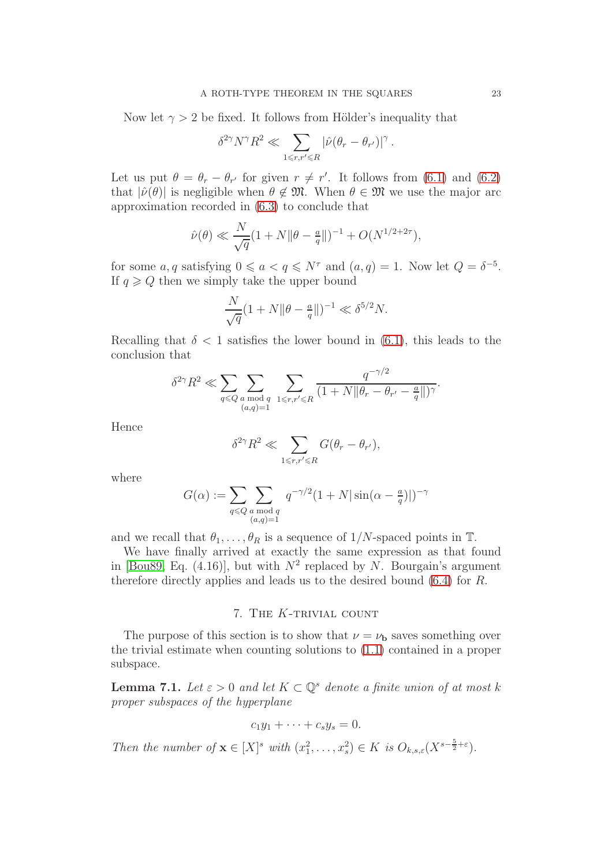Now let  $\gamma > 2$  be fixed. It follows from Hölder's inequality that

$$
\delta^{2\gamma}N^{\gamma}R^2\ll \sum_{1\leqslant r,r'\leqslant R}|\widehat{\nu}(\theta_r-\theta_{r'})|^{\gamma}\,.
$$

Let us put  $\theta = \theta_r - \theta_{r'}$  for given  $r \neq r'$ . It follows from [\(6.1\)](#page-20-1) and [\(6.2\)](#page-21-1) that  $|\hat{\nu}(\theta)|$  is negligible when  $\theta \notin \mathfrak{M}$ . When  $\theta \in \mathfrak{M}$  we use the major arc approximation recorded in [\(6.3\)](#page-21-2) to conclude that

$$
\hat{\nu}(\theta) \ll \frac{N}{\sqrt{q}} (1 + N \|\theta - \frac{a}{q}\|)^{-1} + O(N^{1/2 + 2\tau}),
$$

for some a, q satisfying  $0 \le a < q \le N^{\tau}$  and  $(a, q) = 1$ . Now let  $Q = \delta^{-5}$ . If  $q \geq Q$  then we simply take the upper bound

$$
\frac{N}{\sqrt{q}}(1+N\|\theta - \frac{a}{q}\|)^{-1} \ll \delta^{5/2}N.
$$

Recalling that  $\delta < 1$  satisfies the lower bound in [\(6.1\)](#page-20-1), this leads to the conclusion that

$$
\delta^{2\gamma} R^2 \ll \sum_{q \leq Q} \sum_{\substack{a \bmod q \\ (a,q)=1}} \sum_{1 \leq r, r' \leq R} \frac{q^{-\gamma/2}}{(1+N \|\theta_r - \theta_{r'} - \frac{a}{q}\|)^{\gamma}}.
$$

Hence

$$
\delta^{2\gamma} R^2 \ll \sum_{1 \leq r, r' \leq R} G(\theta_r - \theta_{r'}),
$$

where

$$
G(\alpha) := \sum_{q \le Q} \sum_{\substack{a \bmod q \\ (a,q)=1}} q^{-\gamma/2} (1+N|\sin(\alpha - \frac{a}{q})|)^{-\gamma}
$$

and we recall that  $\theta_1, \ldots, \theta_R$  is a sequence of  $1/N$ -spaced points in  $\mathbb{T}$ .

We have finally arrived at exactly the same expression as that found in [\[Bou89,](#page-24-18) Eq. (4.16)], but with  $N^2$  replaced by N. Bourgain's argument therefore directly applies and leads us to the desired bound [\(6.4\)](#page-21-0) for R.

## 7. THE K-TRIVIAL COUNT

<span id="page-22-0"></span>The purpose of this section is to show that  $\nu = \nu_{\rm b}$  saves something over the trivial estimate when counting solutions to [\(1.1\)](#page-0-1) contained in a proper subspace.

<span id="page-22-1"></span>**Lemma 7.1.** Let  $\varepsilon > 0$  and let  $K \subset \mathbb{Q}^s$  denote a finite union of at most k proper subspaces of the hyperplane

$$
c_1y_1+\cdots+c_sy_s=0.
$$

Then the number of  $\mathbf{x} \in [X]^s$  with  $(x_1^2, \ldots, x_s^2) \in K$  is  $O_{k,s,\varepsilon}(X^{s-\frac{5}{2}+\varepsilon})$ .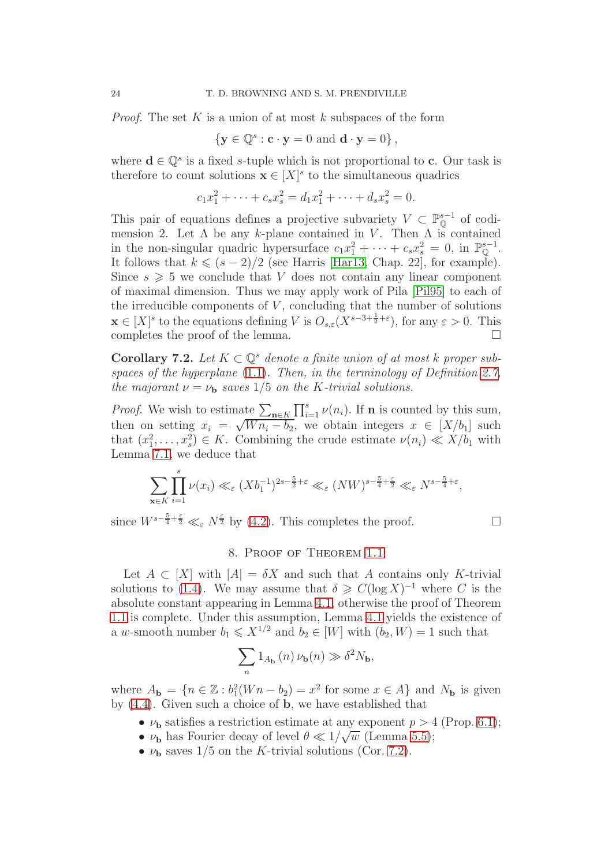*Proof.* The set K is a union of at most k subspaces of the form

$$
\left\{ \mathbf{y} \in \mathbb{Q}^s : \mathbf{c} \cdot \mathbf{y} = 0 \text{ and } \mathbf{d} \cdot \mathbf{y} = 0 \right\},\
$$

where  $\mathbf{d} \in \mathbb{Q}^s$  is a fixed s-tuple which is not proportional to **c**. Our task is therefore to count solutions  $\mathbf{x} \in [X]^s$  to the simultaneous quadrics

$$
c_1x_1^2 + \dots + c_sx_s^2 = d_1x_1^2 + \dots + d_sx_s^2 = 0.
$$

This pair of equations defines a projective subvariety  $V \subset \mathbb{P}_{\mathbb{Q}}^{s-1}$  of codimension 2. Let  $\Lambda$  be any k-plane contained in V. Then  $\Lambda$  is contained in the non-singular quadric hypersurface  $c_1x_1^2 + \cdots + c_sx_s^2 = 0$ , in  $\mathbb{P}_{\mathbb{Q}}^{s-1}$ . It follows that  $k \leq (s-2)/2$  (see Harris [\[Har13,](#page-24-20) Chap. 22], for example). Since  $s \geqslant 5$  we conclude that V does not contain any linear component of maximal dimension. Thus we may apply work of Pila [\[Pil95\]](#page-24-21) to each of the irreducible components of  $V$ , concluding that the number of solutions  $\mathbf{x} \in [X]^s$  to the equations defining V is  $O_{s,\varepsilon}(X^{s-3+\frac{1}{2}+\varepsilon})$ , for any  $\varepsilon > 0$ . This completes the proof of the lemma.

<span id="page-23-1"></span>Corollary 7.2. Let  $K \subset \mathbb{Q}^s$  denote a finite union of at most k proper subspaces of the hyperplane  $(1.1)$ . Then, in the terminology of Definition [2.7,](#page-7-2) the majorant  $\nu = \nu_{\rm b}$  saves 1/5 on the K-trivial solutions.

*Proof.* We wish to estimate  $\sum_{n \in K} \prod_{i=1}^{s} \nu(n_i)$ . If **n** is counted by this sum, then on setting  $x_i = \sqrt{W n_i - b_2}$ , we obtain integers  $x \in [X/b_1]$  such that  $(x_1^2, \ldots, x_s^2) \in K$ . Combining the crude estimate  $\nu(n_i) \ll X/b_1$  with Lemma [7.1,](#page-22-1) we deduce that

$$
\sum_{\mathbf{x}\in K} \prod_{i=1}^s \nu(x_i) \ll_{\varepsilon} (Xb_1^{-1})^{2s-\frac{5}{2}+\varepsilon} \ll_{\varepsilon} (NW)^{s-\frac{5}{4}+\frac{\varepsilon}{2}} \ll_{\varepsilon} N^{s-\frac{5}{4}+\varepsilon},
$$

<span id="page-23-0"></span>since  $W^{s-\frac{5}{4}+\frac{\varepsilon}{2}} \ll_{\varepsilon} N^{\frac{\varepsilon}{2}}$  by [\(4.2\)](#page-10-2). This completes the proof.

## 8. Proof of Theorem [1.1](#page-1-0)

Let  $A \subset [X]$  with  $|A| = \delta X$  and such that A contains only K-trivial solutions to [\(1.4\)](#page-1-2). We may assume that  $\delta \geqslant C(\log X)^{-1}$  where C is the absolute constant appearing in Lemma [4.1,](#page-11-0) otherwise the proof of Theorem [1.1](#page-1-0) is complete. Under this assumption, Lemma [4.1](#page-11-0) yields the existence of a w-smooth number  $b_1 \leqslant X^{1/2}$  and  $b_2 \in [W]$  with  $(b_2, W) = 1$  such that

$$
\sum_n 1_{A_{\mathbf{b}}}\left(n\right)\nu_{\mathbf{b}}(n)\gg \delta^2N_{\mathbf{b}},
$$

where  $A_{\mathbf{b}} = \{n \in \mathbb{Z} : b_1^2(Wn - b_2) = x^2 \text{ for some } x \in A\}$  and  $N_{\mathbf{b}}$  is given by [\(4.4\)](#page-11-3). Given such a choice of b, we have established that

- $\nu_{\mathbf{b}}$  satisfies a restriction estimate at any exponent  $p > 4$  (Prop. [6.1\)](#page-19-1);
- $\nu_{\mathbf{b}}$  has Fourier decay of level  $\theta \ll 1/\sqrt{w}$  (Lemma [5.5\)](#page-17-1);
- $\nu_{\mathbf{b}}$  saves 1/5 on the K-trivial solutions (Cor. [7.2\)](#page-23-1).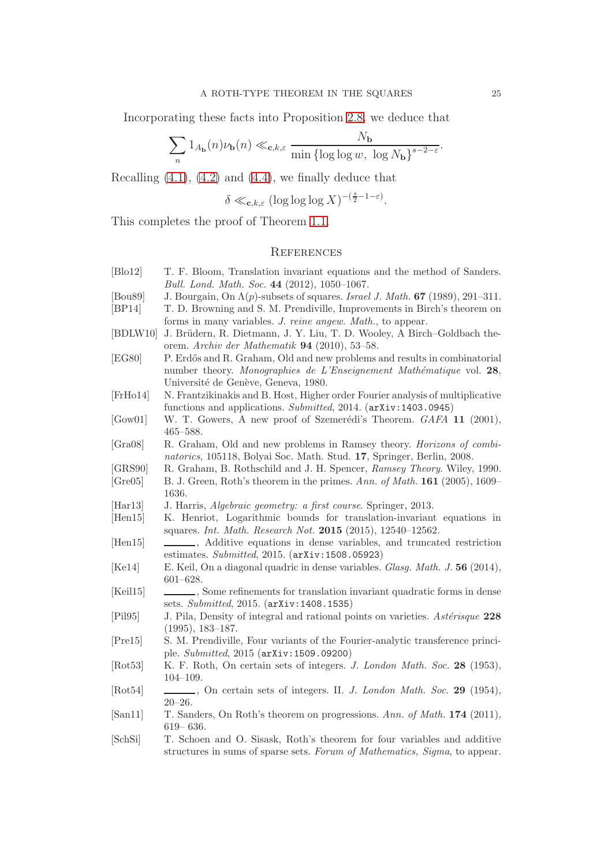Incorporating these facts into Proposition [2.8,](#page-7-1) we deduce that

$$
\sum_n 1_{A_{\mathbf{b}}}(n)\nu_{\mathbf{b}}(n) \ll_{\mathbf{c},k,\varepsilon} \frac{N_{\mathbf{b}}}{\min{\{\log\log w,\ \log N_{\mathbf{b}}\}}^{s-2-\varepsilon}}.
$$

Recalling  $(4.1)$ ,  $(4.2)$  and  $(4.4)$ , we finally deduce that

$$
\delta \ll_{\mathbf{c},k,\varepsilon} (\log \log \log X)^{-(\frac{s}{2}-1-\varepsilon)}.
$$

This completes the proof of Theorem [1.1.](#page-1-0)

# <span id="page-24-0"></span>**REFERENCES**

<span id="page-24-21"></span><span id="page-24-20"></span><span id="page-24-19"></span><span id="page-24-18"></span><span id="page-24-17"></span><span id="page-24-16"></span><span id="page-24-15"></span><span id="page-24-14"></span><span id="page-24-13"></span><span id="page-24-12"></span><span id="page-24-11"></span><span id="page-24-10"></span><span id="page-24-9"></span><span id="page-24-8"></span><span id="page-24-7"></span><span id="page-24-6"></span><span id="page-24-5"></span><span id="page-24-4"></span><span id="page-24-3"></span><span id="page-24-2"></span><span id="page-24-1"></span>

| [Blo12]              | T. F. Bloom, Translation invariant equations and the method of Sanders.               |
|----------------------|---------------------------------------------------------------------------------------|
|                      | Bull. Lond. Math. Soc. 44 (2012), 1050-1067.                                          |
| [Bou89]              | J. Bourgain, On $\Lambda(p)$ -subsets of squares. Israel J. Math. 67 (1989), 291–311. |
| [BP14]               | T. D. Browning and S. M. Prendiville, Improvements in Birch's theorem on              |
|                      | forms in many variables. J. reine angew. Math., to appear.                            |
| [BDLW10]             | J. Brüdern, R. Dietmann, J. Y. Liu, T. D. Wooley, A Birch-Goldbach the-               |
|                      | orem. Archiv der Mathematik $94$ (2010), 53–58.                                       |
| [EG80]               | P. Erdős and R. Graham, Old and new problems and results in combinatorial             |
|                      | number theory. Monographies de L'Enseignement Mathématique vol. 28,                   |
|                      | Université de Genève, Geneva, 1980.                                                   |
| [FrHo14]             | N. Frantzikinakis and B. Host, Higher order Fourier analysis of multiplicative        |
|                      | functions and applications. Submitted, 2014. (arXiv:1403.0945)                        |
| [Gow01]              | W. T. Gowers, A new proof of Szemerédi's Theorem. GAFA 11 (2001),                     |
|                      | $465 - 588.$                                                                          |
| [Gra08]              | R. Graham, Old and new problems in Ramsey theory. <i>Horizons of combi-</i>           |
|                      | natorics, 105118, Bolyai Soc. Math. Stud. 17, Springer, Berlin, 2008.                 |
| [GRS90]              | R. Graham, B. Rothschild and J. H. Spencer, Ramsey Theory. Wiley, 1990.               |
| [Gre05]              | B. J. Green, Roth's theorem in the primes. Ann. of Math. 161 (2005), 1609–            |
|                      | 1636.                                                                                 |
| [Har13]              | J. Harris, Algebraic geometry: a first course. Springer, 2013.                        |
| [Hen15]              | K. Henriot, Logarithmic bounds for translation-invariant equations in                 |
|                      | squares. Int. Math. Research Not. 2015 (2015), 12540-12562.                           |
| [Hen15]              | , Additive equations in dense variables, and truncated restriction                    |
|                      | estimates. $Submitted$ , 2015. $(\text{arXiv}:1508.05923)$                            |
| [Ke14]               | E. Keil, On a diagonal quadric in dense variables. Glasg. Math. J. 56 (2014),         |
|                      | $601 - 628.$                                                                          |
| [Keil15]             | Some refinements for translation invariant quadratic forms in dense                   |
|                      | sets. Submitted, 2015. (arXiv: 1408.1535)                                             |
| [Pi195]              | J. Pila, Density of integral and rational points on varieties. Astérisque 228         |
|                      | $(1995), 183-187.$                                                                    |
| [Pre15]              | S. M. Prendiville, Four variants of the Fourier-analytic transference princi-         |
|                      | ple. Submitted, 2015 (arXiv: 1509.09200)                                              |
| [Rot53]              | K. F. Roth, On certain sets of integers. J. London Math. Soc. 28 (1953),              |
|                      | $104 - 109.$                                                                          |
| [Rot54]              |                                                                                       |
|                      | $20 - 26.$                                                                            |
| [San11]              | T. Sanders, On Roth's theorem on progressions. Ann. of Math. 174 (2011),              |
|                      | $619 - 636.$                                                                          |
| [Sch <sub>Si</sub> ] | T. Schoen and O. Sisask, Roth's theorem for four variables and additive               |
|                      | structures in sums of sparse sets. Forum of Mathematics, Sigma, to appear.            |